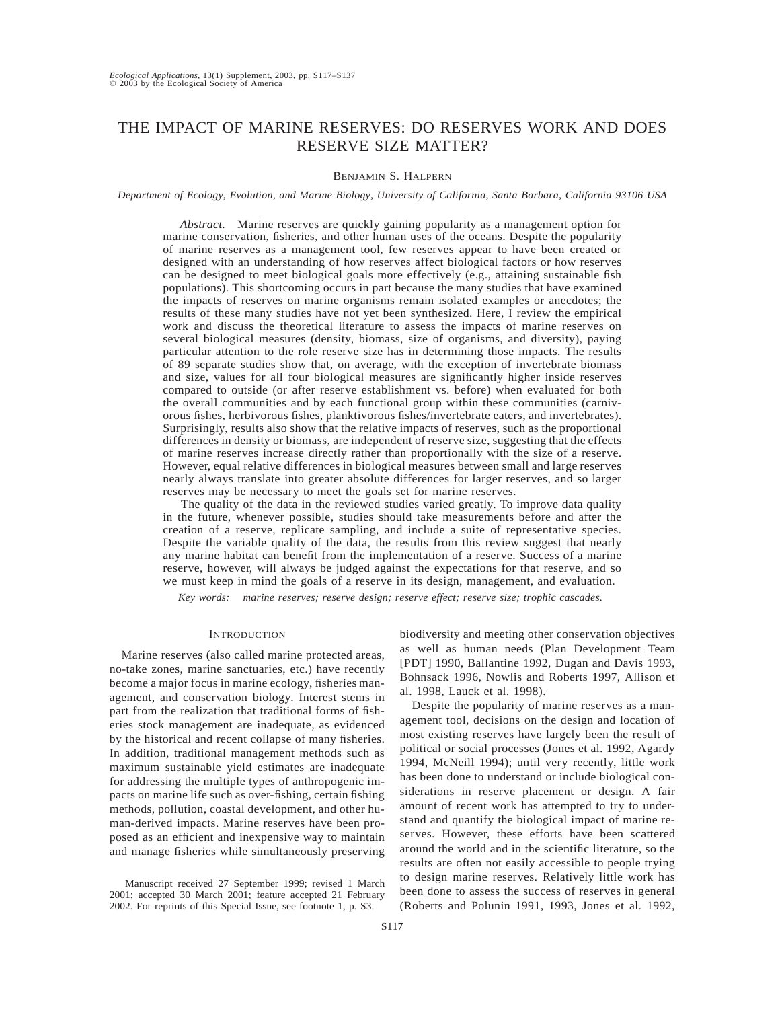# THE IMPACT OF MARINE RESERVES: DO RESERVES WORK AND DOES RESERVE SIZE MATTER?

### BENJAMIN S. HALPERN

*Department of Ecology, Evolution, and Marine Biology, University of California, Santa Barbara, California 93106 USA*

*Abstract.* Marine reserves are quickly gaining popularity as a management option for marine conservation, fisheries, and other human uses of the oceans. Despite the popularity of marine reserves as a management tool, few reserves appear to have been created or designed with an understanding of how reserves affect biological factors or how reserves can be designed to meet biological goals more effectively (e.g., attaining sustainable fish populations). This shortcoming occurs in part because the many studies that have examined the impacts of reserves on marine organisms remain isolated examples or anecdotes; the results of these many studies have not yet been synthesized. Here, I review the empirical work and discuss the theoretical literature to assess the impacts of marine reserves on several biological measures (density, biomass, size of organisms, and diversity), paying particular attention to the role reserve size has in determining those impacts. The results of 89 separate studies show that, on average, with the exception of invertebrate biomass and size, values for all four biological measures are significantly higher inside reserves compared to outside (or after reserve establishment vs. before) when evaluated for both the overall communities and by each functional group within these communities (carnivorous fishes, herbivorous fishes, planktivorous fishes/invertebrate eaters, and invertebrates). Surprisingly, results also show that the relative impacts of reserves, such as the proportional differences in density or biomass, are independent of reserve size, suggesting that the effects of marine reserves increase directly rather than proportionally with the size of a reserve. However, equal relative differences in biological measures between small and large reserves nearly always translate into greater absolute differences for larger reserves, and so larger reserves may be necessary to meet the goals set for marine reserves.

The quality of the data in the reviewed studies varied greatly. To improve data quality in the future, whenever possible, studies should take measurements before and after the creation of a reserve, replicate sampling, and include a suite of representative species. Despite the variable quality of the data, the results from this review suggest that nearly any marine habitat can benefit from the implementation of a reserve. Success of a marine reserve, however, will always be judged against the expectations for that reserve, and so we must keep in mind the goals of a reserve in its design, management, and evaluation.

*Key words: marine reserves; reserve design; reserve effect; reserve size; trophic cascades.*

# **INTRODUCTION**

Marine reserves (also called marine protected areas, no-take zones, marine sanctuaries, etc.) have recently become a major focus in marine ecology, fisheries management, and conservation biology. Interest stems in part from the realization that traditional forms of fisheries stock management are inadequate, as evidenced by the historical and recent collapse of many fisheries. In addition, traditional management methods such as maximum sustainable yield estimates are inadequate for addressing the multiple types of anthropogenic impacts on marine life such as over-fishing, certain fishing methods, pollution, coastal development, and other human-derived impacts. Marine reserves have been proposed as an efficient and inexpensive way to maintain and manage fisheries while simultaneously preserving

Manuscript received 27 September 1999; revised 1 March 2001; accepted 30 March 2001; feature accepted 21 February 2002. For reprints of this Special Issue, see footnote 1, p. S3.

biodiversity and meeting other conservation objectives as well as human needs (Plan Development Team [PDT] 1990, Ballantine 1992, Dugan and Davis 1993, Bohnsack 1996, Nowlis and Roberts 1997, Allison et al. 1998, Lauck et al. 1998).

Despite the popularity of marine reserves as a management tool, decisions on the design and location of most existing reserves have largely been the result of political or social processes (Jones et al. 1992, Agardy 1994, McNeill 1994); until very recently, little work has been done to understand or include biological considerations in reserve placement or design. A fair amount of recent work has attempted to try to understand and quantify the biological impact of marine reserves. However, these efforts have been scattered around the world and in the scientific literature, so the results are often not easily accessible to people trying to design marine reserves. Relatively little work has been done to assess the success of reserves in general (Roberts and Polunin 1991, 1993, Jones et al. 1992,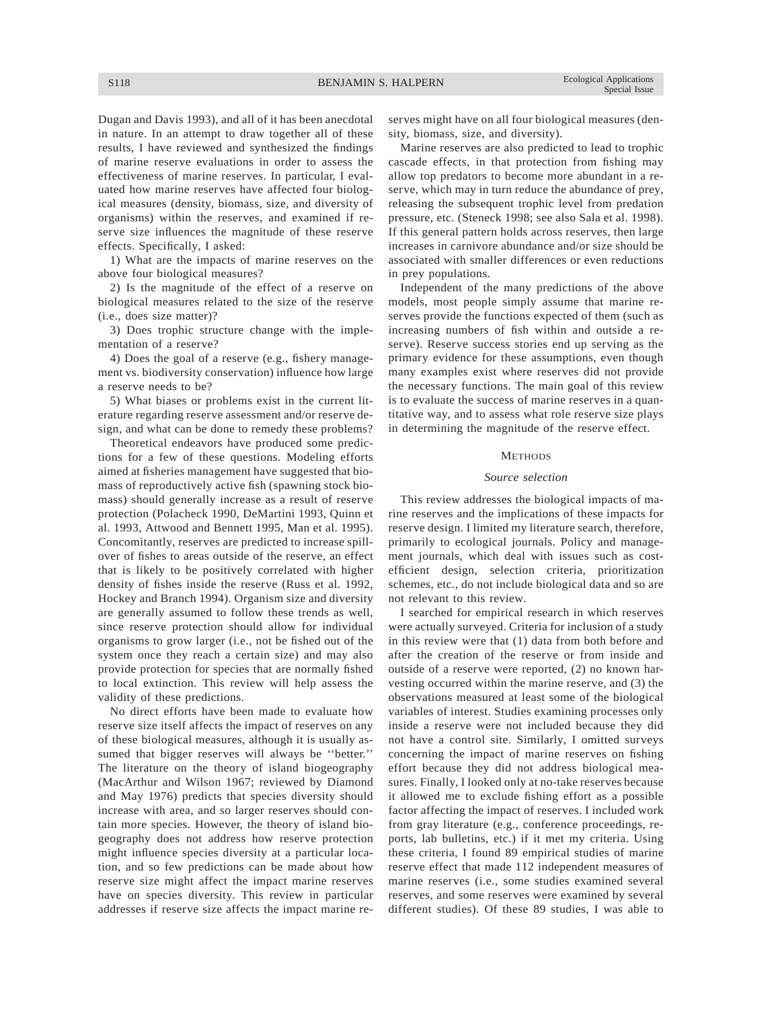Dugan and Davis 1993), and all of it has been anecdotal in nature. In an attempt to draw together all of these results, I have reviewed and synthesized the findings of marine reserve evaluations in order to assess the effectiveness of marine reserves. In particular, I evaluated how marine reserves have affected four biological measures (density, biomass, size, and diversity of organisms) within the reserves, and examined if reserve size influences the magnitude of these reserve effects. Specifically, I asked:

1) What are the impacts of marine reserves on the above four biological measures?

2) Is the magnitude of the effect of a reserve on biological measures related to the size of the reserve (i.e., does size matter)?

3) Does trophic structure change with the implementation of a reserve?

4) Does the goal of a reserve (e.g., fishery management vs. biodiversity conservation) influence how large a reserve needs to be?

5) What biases or problems exist in the current literature regarding reserve assessment and/or reserve design, and what can be done to remedy these problems?

Theoretical endeavors have produced some predictions for a few of these questions. Modeling efforts aimed at fisheries management have suggested that biomass of reproductively active fish (spawning stock biomass) should generally increase as a result of reserve protection (Polacheck 1990, DeMartini 1993, Quinn et al. 1993, Attwood and Bennett 1995, Man et al. 1995). Concomitantly, reserves are predicted to increase spillover of fishes to areas outside of the reserve, an effect that is likely to be positively correlated with higher density of fishes inside the reserve (Russ et al. 1992, Hockey and Branch 1994). Organism size and diversity are generally assumed to follow these trends as well, since reserve protection should allow for individual organisms to grow larger (i.e., not be fished out of the system once they reach a certain size) and may also provide protection for species that are normally fished to local extinction. This review will help assess the validity of these predictions.

No direct efforts have been made to evaluate how reserve size itself affects the impact of reserves on any of these biological measures, although it is usually assumed that bigger reserves will always be ''better.'' The literature on the theory of island biogeography (MacArthur and Wilson 1967; reviewed by Diamond and May 1976) predicts that species diversity should increase with area, and so larger reserves should contain more species. However, the theory of island biogeography does not address how reserve protection might influence species diversity at a particular location, and so few predictions can be made about how reserve size might affect the impact marine reserves have on species diversity. This review in particular addresses if reserve size affects the impact marine reserves might have on all four biological measures (density, biomass, size, and diversity).

Marine reserves are also predicted to lead to trophic cascade effects, in that protection from fishing may allow top predators to become more abundant in a reserve, which may in turn reduce the abundance of prey, releasing the subsequent trophic level from predation pressure, etc. (Steneck 1998; see also Sala et al. 1998). If this general pattern holds across reserves, then large increases in carnivore abundance and/or size should be associated with smaller differences or even reductions in prey populations.

Independent of the many predictions of the above models, most people simply assume that marine reserves provide the functions expected of them (such as increasing numbers of fish within and outside a reserve). Reserve success stories end up serving as the primary evidence for these assumptions, even though many examples exist where reserves did not provide the necessary functions. The main goal of this review is to evaluate the success of marine reserves in a quantitative way, and to assess what role reserve size plays in determining the magnitude of the reserve effect.

# **METHODS**

# *Source selection*

This review addresses the biological impacts of marine reserves and the implications of these impacts for reserve design. I limited my literature search, therefore, primarily to ecological journals. Policy and management journals, which deal with issues such as costefficient design, selection criteria, prioritization schemes, etc., do not include biological data and so are not relevant to this review.

I searched for empirical research in which reserves were actually surveyed. Criteria for inclusion of a study in this review were that (1) data from both before and after the creation of the reserve or from inside and outside of a reserve were reported, (2) no known harvesting occurred within the marine reserve, and (3) the observations measured at least some of the biological variables of interest. Studies examining processes only inside a reserve were not included because they did not have a control site. Similarly, I omitted surveys concerning the impact of marine reserves on fishing effort because they did not address biological measures. Finally, I looked only at no-take reserves because it allowed me to exclude fishing effort as a possible factor affecting the impact of reserves. I included work from gray literature (e.g., conference proceedings, reports, lab bulletins, etc.) if it met my criteria. Using these criteria, I found 89 empirical studies of marine reserve effect that made 112 independent measures of marine reserves (i.e., some studies examined several reserves, and some reserves were examined by several different studies). Of these 89 studies, I was able to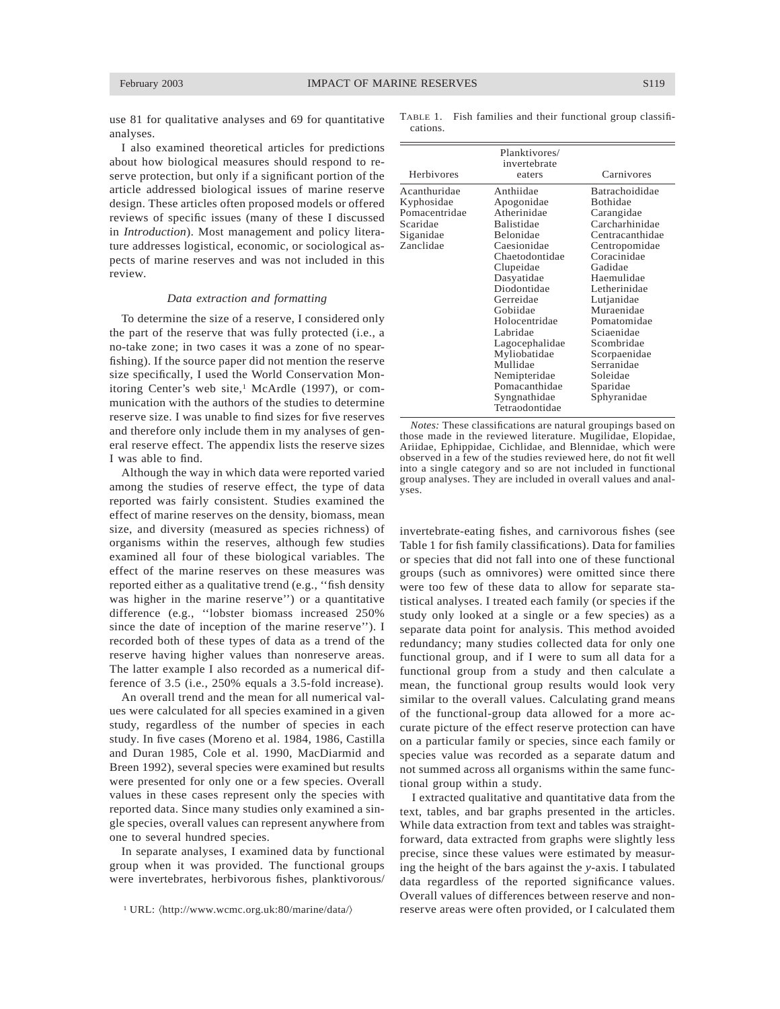use 81 for qualitative analyses and 69 for quantitative analyses.

TABLE 1. Fish families and their functional group classifications.

I also examined theoretical articles for predictions about how biological measures should respond to reserve protection, but only if a significant portion of the article addressed biological issues of marine reserve design. These articles often proposed models or offered reviews of specific issues (many of these I discussed in *Introduction*). Most management and policy literature addresses logistical, economic, or sociological aspects of marine reserves and was not included in this review.

### *Data extraction and formatting*

To determine the size of a reserve, I considered only the part of the reserve that was fully protected (i.e., a no-take zone; in two cases it was a zone of no spearfishing). If the source paper did not mention the reserve size specifically, I used the World Conservation Monitoring Center's web site, $1$  McArdle (1997), or communication with the authors of the studies to determine reserve size. I was unable to find sizes for five reserves and therefore only include them in my analyses of general reserve effect. The appendix lists the reserve sizes I was able to find.

Although the way in which data were reported varied among the studies of reserve effect, the type of data reported was fairly consistent. Studies examined the effect of marine reserves on the density, biomass, mean size, and diversity (measured as species richness) of organisms within the reserves, although few studies examined all four of these biological variables. The effect of the marine reserves on these measures was reported either as a qualitative trend (e.g., ''fish density was higher in the marine reserve'') or a quantitative difference (e.g., ''lobster biomass increased 250% since the date of inception of the marine reserve''). I recorded both of these types of data as a trend of the reserve having higher values than nonreserve areas. The latter example I also recorded as a numerical difference of 3.5 (i.e., 250% equals a 3.5-fold increase).

An overall trend and the mean for all numerical values were calculated for all species examined in a given study, regardless of the number of species in each study. In five cases (Moreno et al. 1984, 1986, Castilla and Duran 1985, Cole et al. 1990, MacDiarmid and Breen 1992), several species were examined but results were presented for only one or a few species. Overall values in these cases represent only the species with reported data. Since many studies only examined a single species, overall values can represent anywhere from one to several hundred species.

In separate analyses, I examined data by functional group when it was provided. The functional groups were invertebrates, herbivorous fishes, planktivorous/

| Herbivores                                                                        | Planktivores/<br>invertebrate<br>eaters                                                                                                                                                                                                                                                                             | Carnivores                                                                                                                                                                                                                                                                                                |
|-----------------------------------------------------------------------------------|---------------------------------------------------------------------------------------------------------------------------------------------------------------------------------------------------------------------------------------------------------------------------------------------------------------------|-----------------------------------------------------------------------------------------------------------------------------------------------------------------------------------------------------------------------------------------------------------------------------------------------------------|
| Acanthuridae<br>Kyphosidae<br>Pomacentridae<br>Scaridae<br>Siganidae<br>Zanclidae | Anthiidae<br>Apogonidae<br>Atherinidae<br>Balistidae<br>Belonidae<br>Caesionidae<br>Chaetodontidae<br>Clupeidae<br>Dasyatidae<br>Diodontidae<br>Gerreidae<br>Gobiidae<br>Holocentridae<br>Labridae<br>Lagocephalidae<br>Myliobatidae<br>Mullidae<br>Nemipteridae<br>Pomacanthidae<br>Syngnathidae<br>Tetraodontidae | Batrachoididae<br><b>Bothidae</b><br>Carangidae<br>Carcharhinidae<br>Centracanthidae<br>Centropomidae<br>Coracinidae<br>Gadidae<br>Haemulidae<br>Letherinidae<br>Lutjanidae<br>Muraenidae<br>Pomatomidae<br>Sciaenidae<br>Scombridae<br>Scorpaenidae<br>Serranidae<br>Soleidae<br>Sparidae<br>Sphyranidae |
|                                                                                   |                                                                                                                                                                                                                                                                                                                     |                                                                                                                                                                                                                                                                                                           |

*Notes:* These classifications are natural groupings based on those made in the reviewed literature. Mugilidae, Elopidae, Ariidae, Ephippidae, Cichlidae, and Blennidae, which were observed in a few of the studies reviewed here, do not fit well into a single category and so are not included in functional group analyses. They are included in overall values and analyses.

invertebrate-eating fishes, and carnivorous fishes (see Table 1 for fish family classifications). Data for families or species that did not fall into one of these functional groups (such as omnivores) were omitted since there were too few of these data to allow for separate statistical analyses. I treated each family (or species if the study only looked at a single or a few species) as a separate data point for analysis. This method avoided redundancy; many studies collected data for only one functional group, and if I were to sum all data for a functional group from a study and then calculate a mean, the functional group results would look very similar to the overall values. Calculating grand means of the functional-group data allowed for a more accurate picture of the effect reserve protection can have on a particular family or species, since each family or species value was recorded as a separate datum and not summed across all organisms within the same functional group within a study.

I extracted qualitative and quantitative data from the text, tables, and bar graphs presented in the articles. While data extraction from text and tables was straightforward, data extracted from graphs were slightly less precise, since these values were estimated by measuring the height of the bars against the *y*-axis. I tabulated data regardless of the reported significance values. Overall values of differences between reserve and nonreserve areas were often provided, or I calculated them

<sup>&</sup>lt;sup>1</sup> URL:  $\langle$ http://www.wcmc.org.uk:80/marine/data/ $\rangle$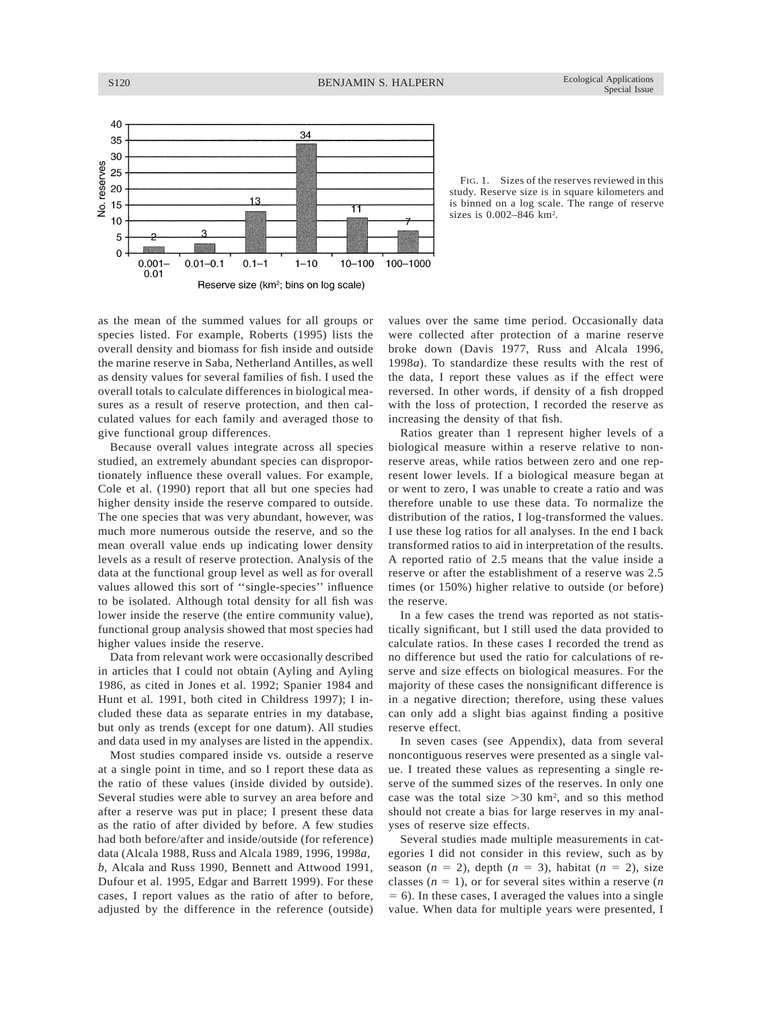

FIG. 1. Sizes of the reserves reviewed in this study. Reserve size is in square kilometers and is binned on a log scale. The range of reserve sizes is 0.002–846 km2.

Special Issue

as the mean of the summed values for all groups or species listed. For example, Roberts (1995) lists the overall density and biomass for fish inside and outside the marine reserve in Saba, Netherland Antilles, as well as density values for several families of fish. I used the overall totals to calculate differences in biological measures as a result of reserve protection, and then calculated values for each family and averaged those to give functional group differences.

Because overall values integrate across all species studied, an extremely abundant species can disproportionately influence these overall values. For example, Cole et al. (1990) report that all but one species had higher density inside the reserve compared to outside. The one species that was very abundant, however, was much more numerous outside the reserve, and so the mean overall value ends up indicating lower density levels as a result of reserve protection. Analysis of the data at the functional group level as well as for overall values allowed this sort of ''single-species'' influence to be isolated. Although total density for all fish was lower inside the reserve (the entire community value), functional group analysis showed that most species had higher values inside the reserve.

Data from relevant work were occasionally described in articles that I could not obtain (Ayling and Ayling 1986, as cited in Jones et al. 1992; Spanier 1984 and Hunt et al. 1991, both cited in Childress 1997); I included these data as separate entries in my database, but only as trends (except for one datum). All studies and data used in my analyses are listed in the appendix.

Most studies compared inside vs. outside a reserve at a single point in time, and so I report these data as the ratio of these values (inside divided by outside). Several studies were able to survey an area before and after a reserve was put in place; I present these data as the ratio of after divided by before. A few studies had both before/after and inside/outside (for reference) data (Alcala 1988, Russ and Alcala 1989, 1996, 1998*a*, *b*, Alcala and Russ 1990, Bennett and Attwood 1991, Dufour et al. 1995, Edgar and Barrett 1999). For these cases, I report values as the ratio of after to before, adjusted by the difference in the reference (outside) values over the same time period. Occasionally data were collected after protection of a marine reserve broke down (Davis 1977, Russ and Alcala 1996, 1998*a*). To standardize these results with the rest of the data, I report these values as if the effect were reversed. In other words, if density of a fish dropped with the loss of protection, I recorded the reserve as increasing the density of that fish.

Ratios greater than 1 represent higher levels of a biological measure within a reserve relative to nonreserve areas, while ratios between zero and one represent lower levels. If a biological measure began at or went to zero, I was unable to create a ratio and was therefore unable to use these data. To normalize the distribution of the ratios, I log-transformed the values. I use these log ratios for all analyses. In the end I back transformed ratios to aid in interpretation of the results. A reported ratio of 2.5 means that the value inside a reserve or after the establishment of a reserve was 2.5 times (or 150%) higher relative to outside (or before) the reserve.

In a few cases the trend was reported as not statistically significant, but I still used the data provided to calculate ratios. In these cases I recorded the trend as no difference but used the ratio for calculations of reserve and size effects on biological measures. For the majority of these cases the nonsignificant difference is in a negative direction; therefore, using these values can only add a slight bias against finding a positive reserve effect.

In seven cases (see Appendix), data from several noncontiguous reserves were presented as a single value. I treated these values as representing a single reserve of the summed sizes of the reserves. In only one case was the total size  $>30$  km<sup>2</sup>, and so this method should not create a bias for large reserves in my analyses of reserve size effects.

Several studies made multiple measurements in categories I did not consider in this review, such as by season  $(n = 2)$ , depth  $(n = 3)$ , habitat  $(n = 2)$ , size classes  $(n = 1)$ , or for several sites within a reserve  $(n)$  $= 6$ ). In these cases, I averaged the values into a single value. When data for multiple years were presented, I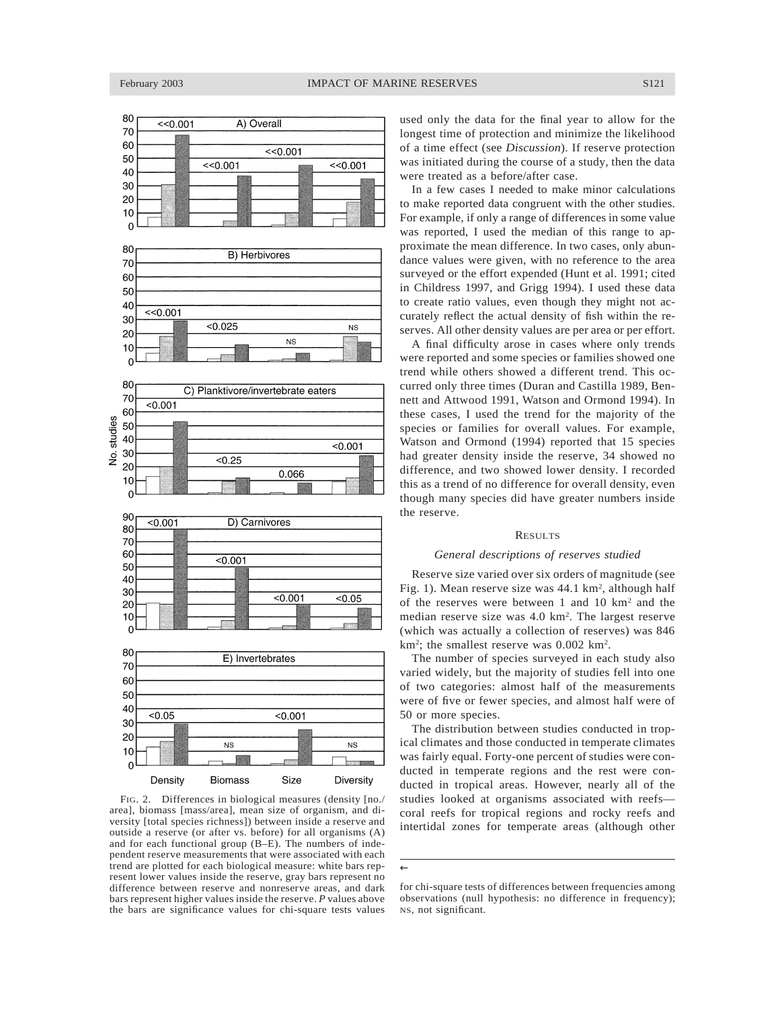

FIG. 2. Differences in biological measures (density [no./ area], biomass [mass/area], mean size of organism, and diversity [total species richness]) between inside a reserve and outside a reserve (or after vs. before) for all organisms (A) and for each functional group (B–E). The numbers of independent reserve measurements that were associated with each trend are plotted for each biological measure: white bars represent lower values inside the reserve, gray bars represent no difference between reserve and nonreserve areas, and dark bars represent higher values inside the reserve. *P* values above the bars are significance values for chi-square tests values

used only the data for the final year to allow for the longest time of protection and minimize the likelihood of a time effect (see *Discussion*). If reserve protection was initiated during the course of a study, then the data were treated as a before/after case.

In a few cases I needed to make minor calculations to make reported data congruent with the other studies. For example, if only a range of differences in some value was reported, I used the median of this range to approximate the mean difference. In two cases, only abundance values were given, with no reference to the area surveyed or the effort expended (Hunt et al. 1991; cited in Childress 1997, and Grigg 1994). I used these data to create ratio values, even though they might not accurately reflect the actual density of fish within the reserves. All other density values are per area or per effort.

A final difficulty arose in cases where only trends were reported and some species or families showed one trend while others showed a different trend. This occurred only three times (Duran and Castilla 1989, Bennett and Attwood 1991, Watson and Ormond 1994). In these cases, I used the trend for the majority of the species or families for overall values. For example, Watson and Ormond (1994) reported that 15 species had greater density inside the reserve, 34 showed no difference, and two showed lower density. I recorded this as a trend of no difference for overall density, even though many species did have greater numbers inside the reserve.

#### RESULTS

#### *General descriptions of reserves studied*

Reserve size varied over six orders of magnitude (see Fig. 1). Mean reserve size was 44.1 km<sup>2</sup>, although half of the reserves were between 1 and 10 km2 and the median reserve size was 4.0 km2 . The largest reserve (which was actually a collection of reserves) was 846 km<sup>2</sup>; the smallest reserve was 0.002 km<sup>2</sup>.

The number of species surveyed in each study also varied widely, but the majority of studies fell into one of two categories: almost half of the measurements were of five or fewer species, and almost half were of 50 or more species.

The distribution between studies conducted in tropical climates and those conducted in temperate climates was fairly equal. Forty-one percent of studies were conducted in temperate regions and the rest were conducted in tropical areas. However, nearly all of the studies looked at organisms associated with reefs coral reefs for tropical regions and rocky reefs and intertidal zones for temperate areas (although other

<sup>←</sup>

for chi-square tests of differences between frequencies among observations (null hypothesis: no difference in frequency); NS, not significant.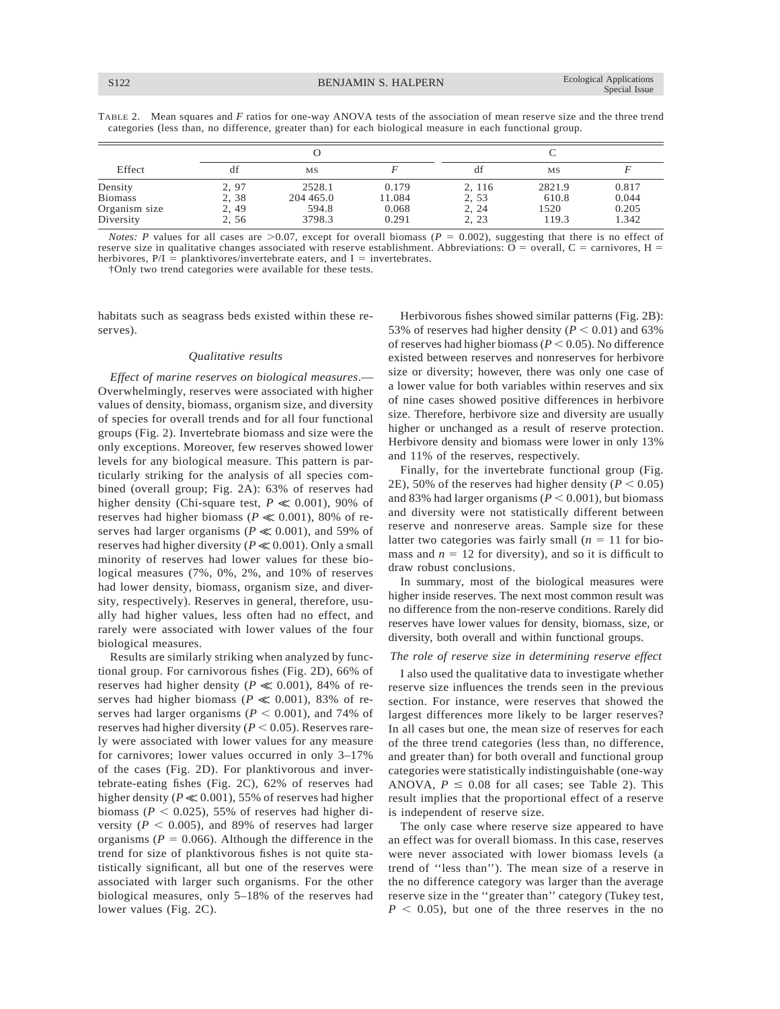| TABLE 2. Mean squares and F ratios for one-way ANOVA tests of the association of mean reserve size and the three trend |  |  |  |  |  |  |  |
|------------------------------------------------------------------------------------------------------------------------|--|--|--|--|--|--|--|
| categories (less than, no difference, greater than) for each biological measure in each functional group.              |  |  |  |  |  |  |  |

| Effect                                     | df                     | MS                           |                          | df                       | MS                      |                         |  |  |  |  |  |
|--------------------------------------------|------------------------|------------------------------|--------------------------|--------------------------|-------------------------|-------------------------|--|--|--|--|--|
| Density<br><b>Biomass</b><br>Organism size | 2.97<br>2, 38<br>2, 49 | 2528.1<br>204 465.0<br>594.8 | 0.179<br>11.084<br>0.068 | 2, 116<br>2, 53<br>2, 24 | 2821.9<br>610.8<br>1520 | 0.817<br>0.044<br>0.205 |  |  |  |  |  |
| Diversity                                  | 2, 56                  | 3798.3                       | 0.291                    | 2, 23                    | 119.3                   | 1.342                   |  |  |  |  |  |

*Notes: P* values for all cases are  $>0.07$ , except for overall biomass ( $P = 0.002$ ), suggesting that there is no effect of reserve size in qualitative changes associated with reserve establishment. Abbreviations:  $O =$  overall,  $C =$  carnivores,  $H =$ herbivores,  $P/I = planktivores/invertebrate eaters, and  $I = invertebrates$ .$ 

†Only two trend categories were available for these tests.

habitats such as seagrass beds existed within these reserves).

# *Qualitative results*

*Effect of marine reserves on biological measures*.— Overwhelmingly, reserves were associated with higher values of density, biomass, organism size, and diversity of species for overall trends and for all four functional groups (Fig. 2). Invertebrate biomass and size were the only exceptions. Moreover, few reserves showed lower levels for any biological measure. This pattern is particularly striking for the analysis of all species combined (overall group; Fig. 2A): 63% of reserves had higher density (Chi-square test,  $P \ll 0.001$ ), 90% of reserves had higher biomass ( $P \ll 0.001$ ), 80% of reserves had larger organisms ( $P \ll 0.001$ ), and 59% of reserves had higher diversity ( $P \ll 0.001$ ). Only a small minority of reserves had lower values for these biological measures (7%, 0%, 2%, and 10% of reserves had lower density, biomass, organism size, and diversity, respectively). Reserves in general, therefore, usually had higher values, less often had no effect, and rarely were associated with lower values of the four biological measures.

Results are similarly striking when analyzed by functional group. For carnivorous fishes (Fig. 2D), 66% of reserves had higher density ( $P \ll 0.001$ ), 84% of reserves had higher biomass ( $P \ll 0.001$ ), 83% of reserves had larger organisms ( $P < 0.001$ ), and 74% of reserves had higher diversity ( $P < 0.05$ ). Reserves rarely were associated with lower values for any measure for carnivores; lower values occurred in only 3–17% of the cases (Fig. 2D). For planktivorous and invertebrate-eating fishes (Fig. 2C), 62% of reserves had higher density ( $P \ll 0.001$ ), 55% of reserves had higher biomass ( $P < 0.025$ ), 55% of reserves had higher diversity ( $P < 0.005$ ), and 89% of reserves had larger organisms ( $P = 0.066$ ). Although the difference in the trend for size of planktivorous fishes is not quite statistically significant, all but one of the reserves were associated with larger such organisms. For the other biological measures, only 5–18% of the reserves had lower values (Fig. 2C).

Herbivorous fishes showed similar patterns (Fig. 2B): 53% of reserves had higher density  $(P < 0.01)$  and 63% of reserves had higher biomass ( $P < 0.05$ ). No difference existed between reserves and nonreserves for herbivore size or diversity; however, there was only one case of a lower value for both variables within reserves and six of nine cases showed positive differences in herbivore size. Therefore, herbivore size and diversity are usually higher or unchanged as a result of reserve protection. Herbivore density and biomass were lower in only 13% and 11% of the reserves, respectively.

Finally, for the invertebrate functional group (Fig. 2E), 50% of the reserves had higher density ( $P < 0.05$ ) and 83% had larger organisms ( $P < 0.001$ ), but biomass and diversity were not statistically different between reserve and nonreserve areas. Sample size for these latter two categories was fairly small  $(n = 11$  for biomass and  $n = 12$  for diversity), and so it is difficult to draw robust conclusions.

In summary, most of the biological measures were higher inside reserves. The next most common result was no difference from the non-reserve conditions. Rarely did reserves have lower values for density, biomass, size, or diversity, both overall and within functional groups.

# *The role of reserve size in determining reserve effect*

I also used the qualitative data to investigate whether reserve size influences the trends seen in the previous section. For instance, were reserves that showed the largest differences more likely to be larger reserves? In all cases but one, the mean size of reserves for each of the three trend categories (less than, no difference, and greater than) for both overall and functional group categories were statistically indistinguishable (one-way ANOVA,  $P \le 0.08$  for all cases; see Table 2). This result implies that the proportional effect of a reserve is independent of reserve size.

The only case where reserve size appeared to have an effect was for overall biomass. In this case, reserves were never associated with lower biomass levels (a trend of ''less than''). The mean size of a reserve in the no difference category was larger than the average reserve size in the ''greater than'' category (Tukey test,  $P < 0.05$ ), but one of the three reserves in the no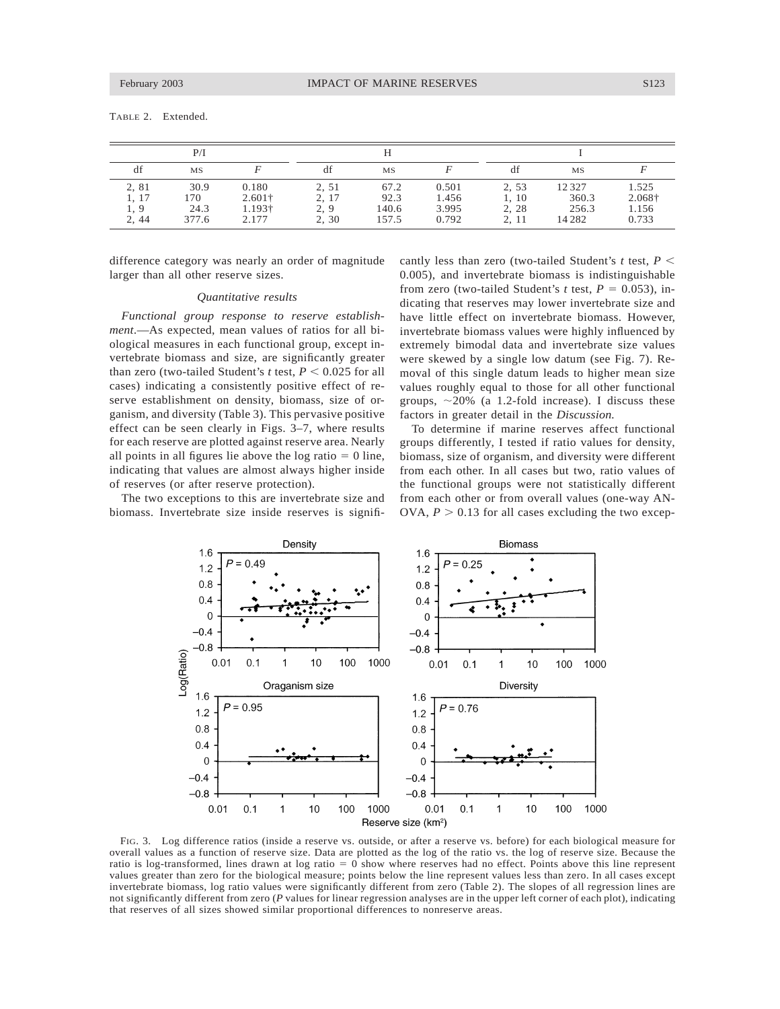TABLE 2. Extended.

|                                 | P/I                          |                                            |                                 | Н                              |                                  |                                  |                                     |                                   |  |  |  |  |  |
|---------------------------------|------------------------------|--------------------------------------------|---------------------------------|--------------------------------|----------------------------------|----------------------------------|-------------------------------------|-----------------------------------|--|--|--|--|--|
| df                              | <b>MS</b>                    |                                            | df                              | <b>MS</b>                      |                                  | df                               | <b>MS</b>                           |                                   |  |  |  |  |  |
| 2, 81<br>1, 17<br>1, 9<br>2, 44 | 30.9<br>170<br>24.3<br>377.6 | 0.180<br>$2.601\dagger$<br>1.193†<br>2.177 | 2, 51<br>2, 17<br>2, 9<br>2, 30 | 67.2<br>92.3<br>140.6<br>157.5 | 0.501<br>1.456<br>3.995<br>0.792 | 2, 53<br>1, 10<br>2, 28<br>2, 11 | 12327<br>360.3<br>256.3<br>14 2 8 2 | 1.525<br>2.068†<br>1.156<br>0.733 |  |  |  |  |  |

difference category was nearly an order of magnitude larger than all other reserve sizes.

#### *Quantitative results*

*Functional group response to reserve establishment*.—As expected, mean values of ratios for all biological measures in each functional group, except invertebrate biomass and size, are significantly greater than zero (two-tailed Student's  $t$  test,  $P < 0.025$  for all cases) indicating a consistently positive effect of reserve establishment on density, biomass, size of organism, and diversity (Table 3). This pervasive positive effect can be seen clearly in Figs. 3–7, where results for each reserve are plotted against reserve area. Nearly all points in all figures lie above the log ratio  $= 0$  line, indicating that values are almost always higher inside of reserves (or after reserve protection).

The two exceptions to this are invertebrate size and biomass. Invertebrate size inside reserves is significantly less than zero (two-tailed Student's  $t$  test,  $P \leq$ 0.005), and invertebrate biomass is indistinguishable from zero (two-tailed Student's *t* test,  $P = 0.053$ ), indicating that reserves may lower invertebrate size and have little effect on invertebrate biomass. However, invertebrate biomass values were highly influenced by extremely bimodal data and invertebrate size values were skewed by a single low datum (see Fig. 7). Removal of this single datum leads to higher mean size values roughly equal to those for all other functional groups,  $\sim$ 20% (a 1.2-fold increase). I discuss these factors in greater detail in the *Discussion.*

To determine if marine reserves affect functional groups differently, I tested if ratio values for density, biomass, size of organism, and diversity were different from each other. In all cases but two, ratio values of the functional groups were not statistically different from each other or from overall values (one-way AN-OVA,  $P > 0.13$  for all cases excluding the two excep-



FIG. 3. Log difference ratios (inside a reserve vs. outside, or after a reserve vs. before) for each biological measure for overall values as a function of reserve size. Data are plotted as the log of the ratio vs. the log of reserve size. Because the ratio is log-transformed, lines drawn at log ratio  $= 0$  show where reserves had no effect. Points above this line represent values greater than zero for the biological measure; points below the line represent values less than zero. In all cases except invertebrate biomass, log ratio values were significantly different from zero (Table 2). The slopes of all regression lines are not significantly different from zero (*P* values for linear regression analyses are in the upper left corner of each plot), indicating that reserves of all sizes showed similar proportional differences to nonreserve areas.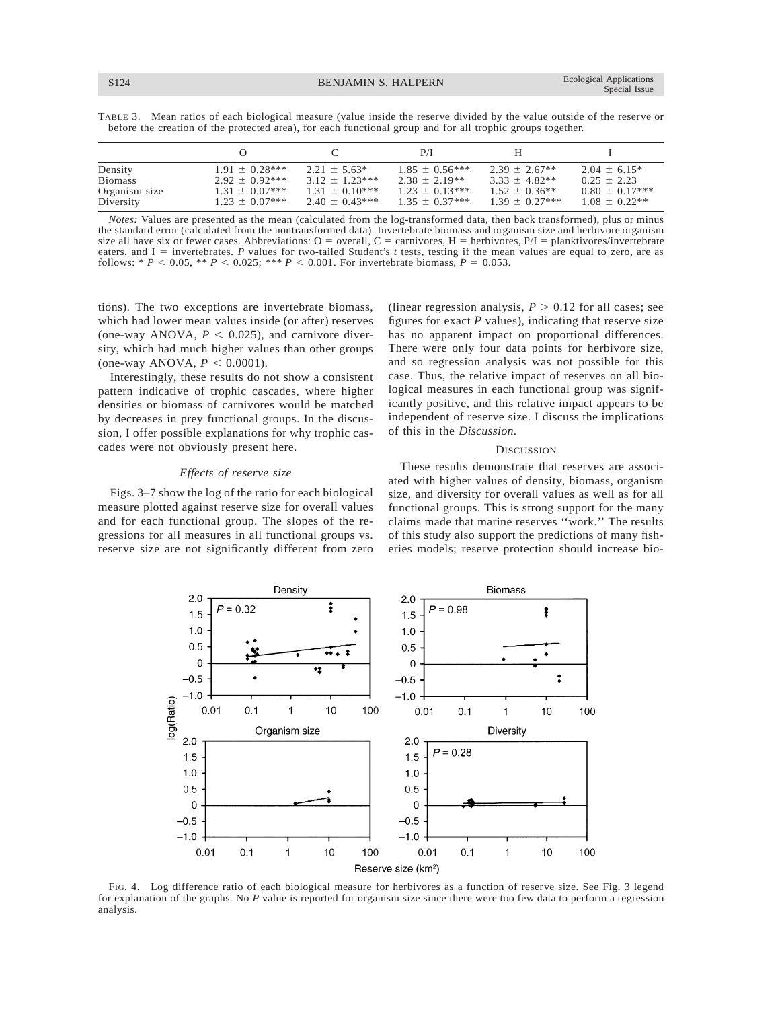| TABLE 3. Mean ratios of each biological measure (value inside the reserve divided by the value outside of the reserve or |  |  |  |  |  |
|--------------------------------------------------------------------------------------------------------------------------|--|--|--|--|--|
| before the creation of the protected area), for each functional group and for all trophic groups together.               |  |  |  |  |  |

|                |                     |                    | P/I                |                    |                   |
|----------------|---------------------|--------------------|--------------------|--------------------|-------------------|
| Density        | $1.91 + 0.28***$    | $2.21 + 5.63*$     | $1.85 + 0.56***$   | $2.39 + 2.67**$    | $2.04 + 6.15*$    |
| <b>Biomass</b> | $2.92 \pm 0.92***$  | $3.12 \pm 1.23***$ | $2.38 + 2.19**$    | $3.33 + 4.82**$    | $0.25 + 2.23$     |
| Organism size  | $1.31 \pm 0.07***$  | $1.31 \pm 0.10***$ | $1.23 \pm 0.13***$ | $1.52 \pm 0.36***$ | $0.80 + 0.17***$  |
| Diversity      | $1.23 \pm 0.07$ *** | $2.40 \pm 0.43***$ | $1.35 \pm 0.37***$ | $1.39 \pm 0.27***$ | $1.08 \pm 0.22**$ |

*Notes:* Values are presented as the mean (calculated from the log-transformed data, then back transformed), plus or minus the standard error (calculated from the nontransformed data). Invertebrate biomass and organism size and herbivore organism size all have six or fewer cases. Abbreviations:  $O =$  overall,  $C =$  carnivores,  $H =$  herbivores,  $P/I =$  planktivores/invertebrate eaters, and I = invertebrates. *P* values for two-tailed Student's *t* tests, testing if the mean values are equal to zero, are as follows: \*  $P < 0.05$ , \*\*  $P < 0.025$ ; \*\*\*  $P < 0.001$ . For invertebrate biomass,  $P = 0.053$ .

tions). The two exceptions are invertebrate biomass, which had lower mean values inside (or after) reserves (one-way ANOVA,  $P < 0.025$ ), and carnivore diversity, which had much higher values than other groups (one-way ANOVA,  $P < 0.0001$ ).

Interestingly, these results do not show a consistent pattern indicative of trophic cascades, where higher densities or biomass of carnivores would be matched by decreases in prey functional groups. In the discussion, I offer possible explanations for why trophic cascades were not obviously present here.

### *Effects of reserve size*

Figs. 3–7 show the log of the ratio for each biological measure plotted against reserve size for overall values and for each functional group. The slopes of the regressions for all measures in all functional groups vs. reserve size are not significantly different from zero

(linear regression analysis,  $P > 0.12$  for all cases; see figures for exact *P* values), indicating that reserve size has no apparent impact on proportional differences. There were only four data points for herbivore size, and so regression analysis was not possible for this case. Thus, the relative impact of reserves on all biological measures in each functional group was significantly positive, and this relative impact appears to be independent of reserve size. I discuss the implications of this in the *Discussion.*

#### **DISCUSSION**

These results demonstrate that reserves are associated with higher values of density, biomass, organism size, and diversity for overall values as well as for all functional groups. This is strong support for the many claims made that marine reserves ''work.'' The results of this study also support the predictions of many fisheries models; reserve protection should increase bio-



FIG. 4. Log difference ratio of each biological measure for herbivores as a function of reserve size. See Fig. 3 legend for explanation of the graphs. No *P* value is reported for organism size since there were too few data to perform a regression analysis.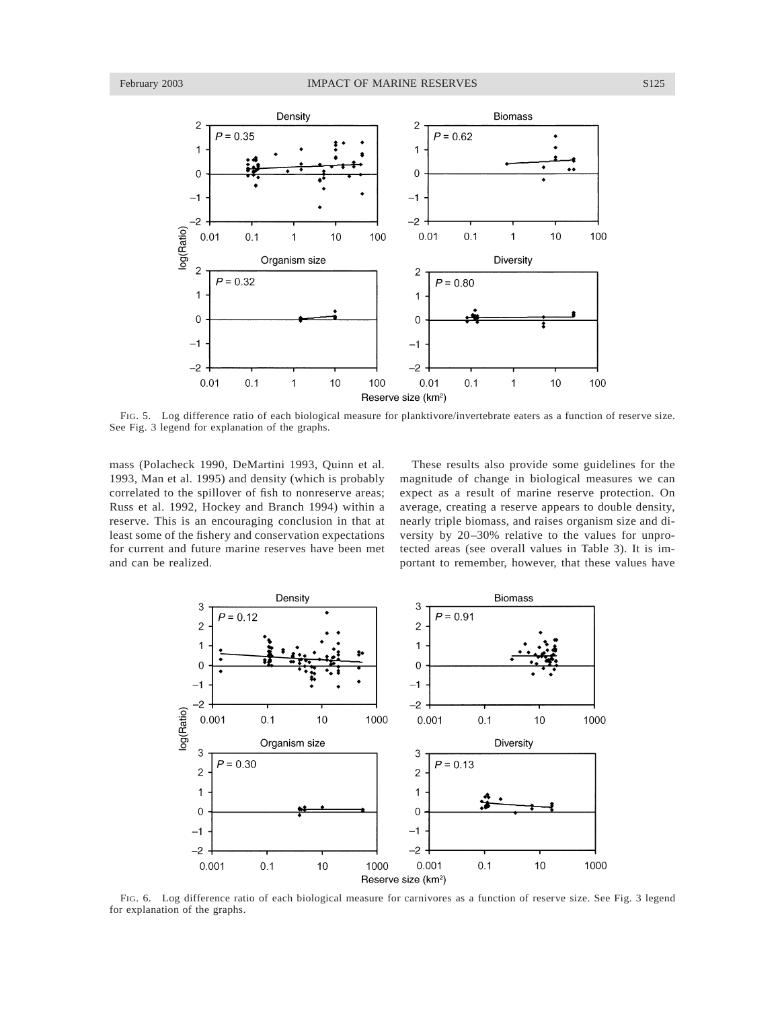

FIG. 5. Log difference ratio of each biological measure for planktivore/invertebrate eaters as a function of reserve size. See Fig. 3 legend for explanation of the graphs.

mass (Polacheck 1990, DeMartini 1993, Quinn et al. 1993, Man et al. 1995) and density (which is probably correlated to the spillover of fish to nonreserve areas; Russ et al. 1992, Hockey and Branch 1994) within a reserve. This is an encouraging conclusion in that at least some of the fishery and conservation expectations for current and future marine reserves have been met and can be realized.

These results also provide some guidelines for the magnitude of change in biological measures we can expect as a result of marine reserve protection. On average, creating a reserve appears to double density, nearly triple biomass, and raises organism size and diversity by 20–30% relative to the values for unprotected areas (see overall values in Table 3). It is important to remember, however, that these values have



FIG. 6. Log difference ratio of each biological measure for carnivores as a function of reserve size. See Fig. 3 legend for explanation of the graphs.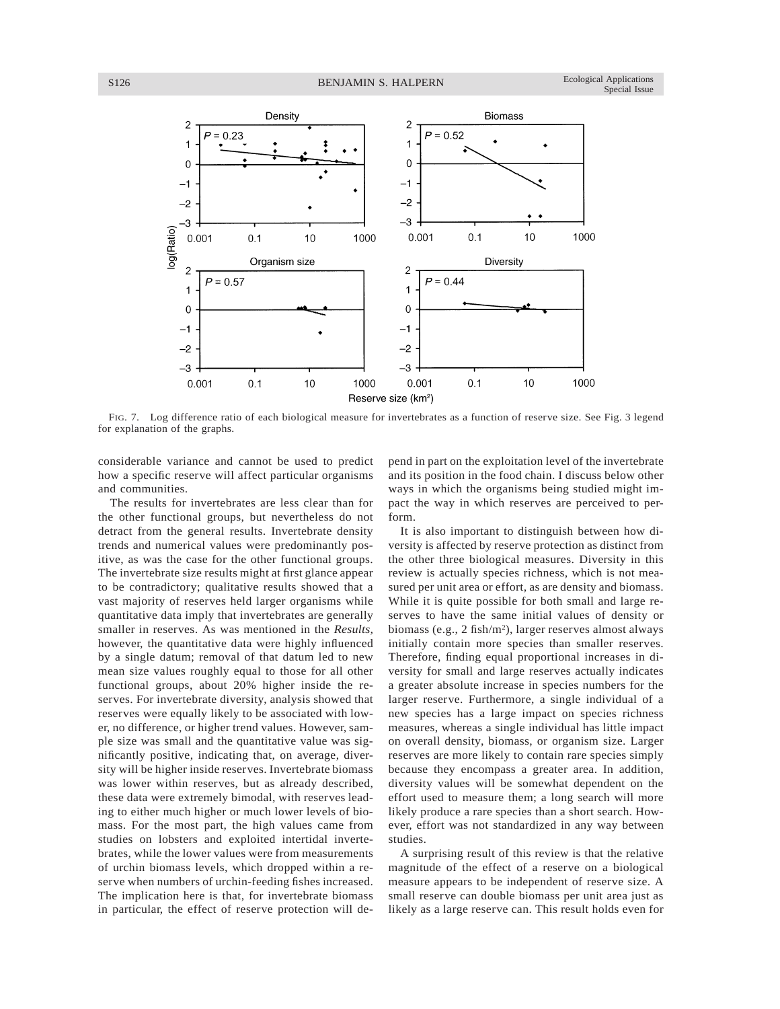

FIG. 7. Log difference ratio of each biological measure for invertebrates as a function of reserve size. See Fig. 3 legend for explanation of the graphs.

considerable variance and cannot be used to predict how a specific reserve will affect particular organisms and communities.

The results for invertebrates are less clear than for the other functional groups, but nevertheless do not detract from the general results. Invertebrate density trends and numerical values were predominantly positive, as was the case for the other functional groups. The invertebrate size results might at first glance appear to be contradictory; qualitative results showed that a vast majority of reserves held larger organisms while quantitative data imply that invertebrates are generally smaller in reserves. As was mentioned in the *Results,* however, the quantitative data were highly influenced by a single datum; removal of that datum led to new mean size values roughly equal to those for all other functional groups, about 20% higher inside the reserves. For invertebrate diversity, analysis showed that reserves were equally likely to be associated with lower, no difference, or higher trend values. However, sample size was small and the quantitative value was significantly positive, indicating that, on average, diversity will be higher inside reserves. Invertebrate biomass was lower within reserves, but as already described, these data were extremely bimodal, with reserves leading to either much higher or much lower levels of biomass. For the most part, the high values came from studies on lobsters and exploited intertidal invertebrates, while the lower values were from measurements of urchin biomass levels, which dropped within a reserve when numbers of urchin-feeding fishes increased. The implication here is that, for invertebrate biomass in particular, the effect of reserve protection will depend in part on the exploitation level of the invertebrate and its position in the food chain. I discuss below other ways in which the organisms being studied might impact the way in which reserves are perceived to perform.

It is also important to distinguish between how diversity is affected by reserve protection as distinct from the other three biological measures. Diversity in this review is actually species richness, which is not measured per unit area or effort, as are density and biomass. While it is quite possible for both small and large reserves to have the same initial values of density or biomass (e.g., 2 fish/m2), larger reserves almost always initially contain more species than smaller reserves. Therefore, finding equal proportional increases in diversity for small and large reserves actually indicates a greater absolute increase in species numbers for the larger reserve. Furthermore, a single individual of a new species has a large impact on species richness measures, whereas a single individual has little impact on overall density, biomass, or organism size. Larger reserves are more likely to contain rare species simply because they encompass a greater area. In addition, diversity values will be somewhat dependent on the effort used to measure them; a long search will more likely produce a rare species than a short search. However, effort was not standardized in any way between studies.

A surprising result of this review is that the relative magnitude of the effect of a reserve on a biological measure appears to be independent of reserve size. A small reserve can double biomass per unit area just as likely as a large reserve can. This result holds even for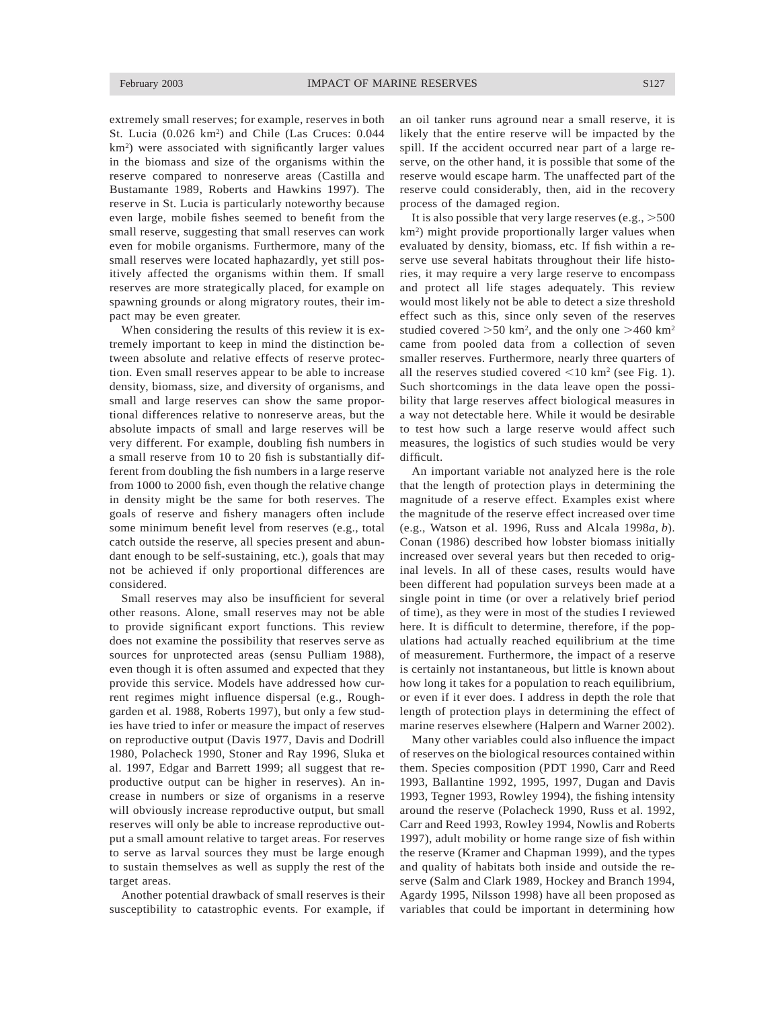extremely small reserves; for example, reserves in both St. Lucia (0.026 km<sup>2</sup>) and Chile (Las Cruces: 0.044 km2 ) were associated with significantly larger values in the biomass and size of the organisms within the reserve compared to nonreserve areas (Castilla and Bustamante 1989, Roberts and Hawkins 1997). The reserve in St. Lucia is particularly noteworthy because even large, mobile fishes seemed to benefit from the small reserve, suggesting that small reserves can work even for mobile organisms. Furthermore, many of the small reserves were located haphazardly, yet still positively affected the organisms within them. If small reserves are more strategically placed, for example on spawning grounds or along migratory routes, their impact may be even greater.

When considering the results of this review it is extremely important to keep in mind the distinction between absolute and relative effects of reserve protection. Even small reserves appear to be able to increase density, biomass, size, and diversity of organisms, and small and large reserves can show the same proportional differences relative to nonreserve areas, but the absolute impacts of small and large reserves will be very different. For example, doubling fish numbers in a small reserve from 10 to 20 fish is substantially different from doubling the fish numbers in a large reserve from 1000 to 2000 fish, even though the relative change in density might be the same for both reserves. The goals of reserve and fishery managers often include some minimum benefit level from reserves (e.g., total catch outside the reserve, all species present and abundant enough to be self-sustaining, etc.), goals that may not be achieved if only proportional differences are considered.

Small reserves may also be insufficient for several other reasons. Alone, small reserves may not be able to provide significant export functions. This review does not examine the possibility that reserves serve as sources for unprotected areas (sensu Pulliam 1988), even though it is often assumed and expected that they provide this service. Models have addressed how current regimes might influence dispersal (e.g., Roughgarden et al. 1988, Roberts 1997), but only a few studies have tried to infer or measure the impact of reserves on reproductive output (Davis 1977, Davis and Dodrill 1980, Polacheck 1990, Stoner and Ray 1996, Sluka et al. 1997, Edgar and Barrett 1999; all suggest that reproductive output can be higher in reserves). An increase in numbers or size of organisms in a reserve will obviously increase reproductive output, but small reserves will only be able to increase reproductive output a small amount relative to target areas. For reserves to serve as larval sources they must be large enough to sustain themselves as well as supply the rest of the target areas.

Another potential drawback of small reserves is their susceptibility to catastrophic events. For example, if

an oil tanker runs aground near a small reserve, it is likely that the entire reserve will be impacted by the spill. If the accident occurred near part of a large reserve, on the other hand, it is possible that some of the reserve would escape harm. The unaffected part of the reserve could considerably, then, aid in the recovery process of the damaged region.

It is also possible that very large reserves (e.g.,  $>500$ km2 ) might provide proportionally larger values when evaluated by density, biomass, etc. If fish within a reserve use several habitats throughout their life histories, it may require a very large reserve to encompass and protect all life stages adequately. This review would most likely not be able to detect a size threshold effect such as this, since only seven of the reserves studied covered  $>50$  km<sup>2</sup>, and the only one  $>460$  km<sup>2</sup> came from pooled data from a collection of seven smaller reserves. Furthermore, nearly three quarters of all the reserves studied covered  $<$ 10 km<sup>2</sup> (see Fig. 1). Such shortcomings in the data leave open the possibility that large reserves affect biological measures in a way not detectable here. While it would be desirable to test how such a large reserve would affect such measures, the logistics of such studies would be very difficult.

An important variable not analyzed here is the role that the length of protection plays in determining the magnitude of a reserve effect. Examples exist where the magnitude of the reserve effect increased over time (e.g., Watson et al. 1996, Russ and Alcala 1998*a*, *b*). Conan (1986) described how lobster biomass initially increased over several years but then receded to original levels. In all of these cases, results would have been different had population surveys been made at a single point in time (or over a relatively brief period of time), as they were in most of the studies I reviewed here. It is difficult to determine, therefore, if the populations had actually reached equilibrium at the time of measurement. Furthermore, the impact of a reserve is certainly not instantaneous, but little is known about how long it takes for a population to reach equilibrium, or even if it ever does. I address in depth the role that length of protection plays in determining the effect of marine reserves elsewhere (Halpern and Warner 2002).

Many other variables could also influence the impact of reserves on the biological resources contained within them. Species composition (PDT 1990, Carr and Reed 1993, Ballantine 1992, 1995, 1997, Dugan and Davis 1993, Tegner 1993, Rowley 1994), the fishing intensity around the reserve (Polacheck 1990, Russ et al. 1992, Carr and Reed 1993, Rowley 1994, Nowlis and Roberts 1997), adult mobility or home range size of fish within the reserve (Kramer and Chapman 1999), and the types and quality of habitats both inside and outside the reserve (Salm and Clark 1989, Hockey and Branch 1994, Agardy 1995, Nilsson 1998) have all been proposed as variables that could be important in determining how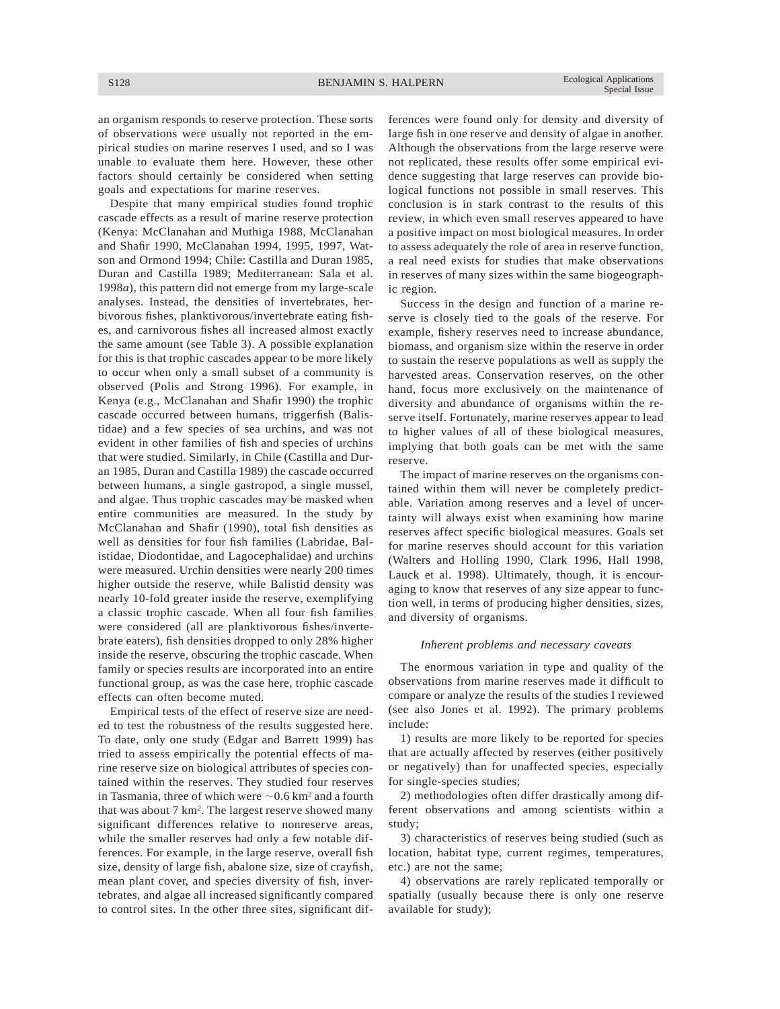S128 BENJAMIN S. HALPERN Ecological Applications Special Issue

an organism responds to reserve protection. These sorts of observations were usually not reported in the empirical studies on marine reserves I used, and so I was unable to evaluate them here. However, these other factors should certainly be considered when setting goals and expectations for marine reserves.

Despite that many empirical studies found trophic cascade effects as a result of marine reserve protection (Kenya: McClanahan and Muthiga 1988, McClanahan and Shafir 1990, McClanahan 1994, 1995, 1997, Watson and Ormond 1994; Chile: Castilla and Duran 1985, Duran and Castilla 1989; Mediterranean: Sala et al. 1998*a*), this pattern did not emerge from my large-scale analyses. Instead, the densities of invertebrates, herbivorous fishes, planktivorous/invertebrate eating fishes, and carnivorous fishes all increased almost exactly the same amount (see Table 3). A possible explanation for this is that trophic cascades appear to be more likely to occur when only a small subset of a community is observed (Polis and Strong 1996). For example, in Kenya (e.g., McClanahan and Shafir 1990) the trophic cascade occurred between humans, triggerfish (Balistidae) and a few species of sea urchins, and was not evident in other families of fish and species of urchins that were studied. Similarly, in Chile (Castilla and Duran 1985, Duran and Castilla 1989) the cascade occurred between humans, a single gastropod, a single mussel, and algae. Thus trophic cascades may be masked when entire communities are measured. In the study by McClanahan and Shafir (1990), total fish densities as well as densities for four fish families (Labridae, Balistidae, Diodontidae, and Lagocephalidae) and urchins were measured. Urchin densities were nearly 200 times higher outside the reserve, while Balistid density was nearly 10-fold greater inside the reserve, exemplifying a classic trophic cascade. When all four fish families were considered (all are planktivorous fishes/invertebrate eaters), fish densities dropped to only 28% higher inside the reserve, obscuring the trophic cascade. When family or species results are incorporated into an entire functional group, as was the case here, trophic cascade effects can often become muted.

Empirical tests of the effect of reserve size are needed to test the robustness of the results suggested here. To date, only one study (Edgar and Barrett 1999) has tried to assess empirically the potential effects of marine reserve size on biological attributes of species contained within the reserves. They studied four reserves in Tasmania, three of which were  $\sim 0.6$  km<sup>2</sup> and a fourth that was about 7 km2. The largest reserve showed many significant differences relative to nonreserve areas, while the smaller reserves had only a few notable differences. For example, in the large reserve, overall fish size, density of large fish, abalone size, size of crayfish, mean plant cover, and species diversity of fish, invertebrates, and algae all increased significantly compared to control sites. In the other three sites, significant differences were found only for density and diversity of large fish in one reserve and density of algae in another. Although the observations from the large reserve were not replicated, these results offer some empirical evidence suggesting that large reserves can provide biological functions not possible in small reserves. This conclusion is in stark contrast to the results of this review, in which even small reserves appeared to have a positive impact on most biological measures. In order to assess adequately the role of area in reserve function, a real need exists for studies that make observations in reserves of many sizes within the same biogeographic region.

Success in the design and function of a marine reserve is closely tied to the goals of the reserve. For example, fishery reserves need to increase abundance, biomass, and organism size within the reserve in order to sustain the reserve populations as well as supply the harvested areas. Conservation reserves, on the other hand, focus more exclusively on the maintenance of diversity and abundance of organisms within the reserve itself. Fortunately, marine reserves appear to lead to higher values of all of these biological measures, implying that both goals can be met with the same reserve.

The impact of marine reserves on the organisms contained within them will never be completely predictable. Variation among reserves and a level of uncertainty will always exist when examining how marine reserves affect specific biological measures. Goals set for marine reserves should account for this variation (Walters and Holling 1990, Clark 1996, Hall 1998, Lauck et al. 1998). Ultimately, though, it is encouraging to know that reserves of any size appear to function well, in terms of producing higher densities, sizes, and diversity of organisms.

#### *Inherent problems and necessary caveats*

The enormous variation in type and quality of the observations from marine reserves made it difficult to compare or analyze the results of the studies I reviewed (see also Jones et al. 1992). The primary problems include:

1) results are more likely to be reported for species that are actually affected by reserves (either positively or negatively) than for unaffected species, especially for single-species studies;

2) methodologies often differ drastically among different observations and among scientists within a study;

3) characteristics of reserves being studied (such as location, habitat type, current regimes, temperatures, etc.) are not the same;

4) observations are rarely replicated temporally or spatially (usually because there is only one reserve available for study);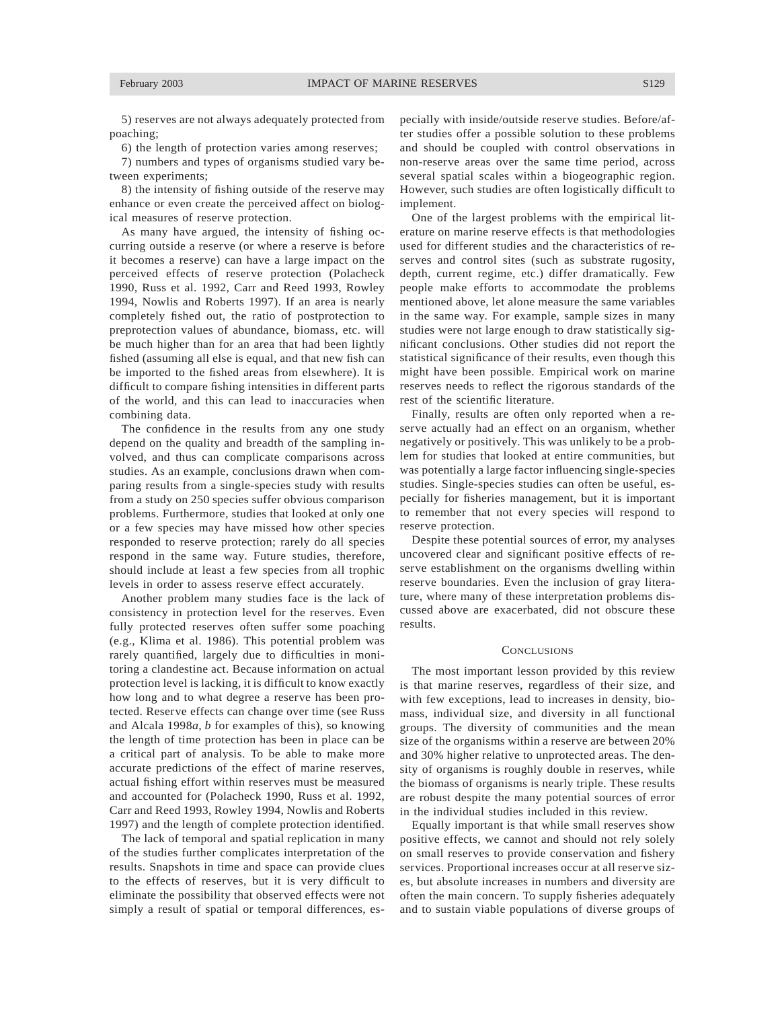5) reserves are not always adequately protected from poaching;

6) the length of protection varies among reserves;

7) numbers and types of organisms studied vary between experiments;

8) the intensity of fishing outside of the reserve may enhance or even create the perceived affect on biological measures of reserve protection.

As many have argued, the intensity of fishing occurring outside a reserve (or where a reserve is before it becomes a reserve) can have a large impact on the perceived effects of reserve protection (Polacheck 1990, Russ et al. 1992, Carr and Reed 1993, Rowley 1994, Nowlis and Roberts 1997). If an area is nearly completely fished out, the ratio of postprotection to preprotection values of abundance, biomass, etc. will be much higher than for an area that had been lightly fished (assuming all else is equal, and that new fish can be imported to the fished areas from elsewhere). It is difficult to compare fishing intensities in different parts of the world, and this can lead to inaccuracies when combining data.

The confidence in the results from any one study depend on the quality and breadth of the sampling involved, and thus can complicate comparisons across studies. As an example, conclusions drawn when comparing results from a single-species study with results from a study on 250 species suffer obvious comparison problems. Furthermore, studies that looked at only one or a few species may have missed how other species responded to reserve protection; rarely do all species respond in the same way. Future studies, therefore, should include at least a few species from all trophic levels in order to assess reserve effect accurately.

Another problem many studies face is the lack of consistency in protection level for the reserves. Even fully protected reserves often suffer some poaching (e.g., Klima et al. 1986). This potential problem was rarely quantified, largely due to difficulties in monitoring a clandestine act. Because information on actual protection level is lacking, it is difficult to know exactly how long and to what degree a reserve has been protected. Reserve effects can change over time (see Russ and Alcala 1998*a*, *b* for examples of this), so knowing the length of time protection has been in place can be a critical part of analysis. To be able to make more accurate predictions of the effect of marine reserves, actual fishing effort within reserves must be measured and accounted for (Polacheck 1990, Russ et al. 1992, Carr and Reed 1993, Rowley 1994, Nowlis and Roberts 1997) and the length of complete protection identified.

The lack of temporal and spatial replication in many of the studies further complicates interpretation of the results. Snapshots in time and space can provide clues to the effects of reserves, but it is very difficult to eliminate the possibility that observed effects were not simply a result of spatial or temporal differences, especially with inside/outside reserve studies. Before/after studies offer a possible solution to these problems and should be coupled with control observations in non-reserve areas over the same time period, across several spatial scales within a biogeographic region. However, such studies are often logistically difficult to implement.

One of the largest problems with the empirical literature on marine reserve effects is that methodologies used for different studies and the characteristics of reserves and control sites (such as substrate rugosity, depth, current regime, etc.) differ dramatically. Few people make efforts to accommodate the problems mentioned above, let alone measure the same variables in the same way. For example, sample sizes in many studies were not large enough to draw statistically significant conclusions. Other studies did not report the statistical significance of their results, even though this might have been possible. Empirical work on marine reserves needs to reflect the rigorous standards of the rest of the scientific literature.

Finally, results are often only reported when a reserve actually had an effect on an organism, whether negatively or positively. This was unlikely to be a problem for studies that looked at entire communities, but was potentially a large factor influencing single-species studies. Single-species studies can often be useful, especially for fisheries management, but it is important to remember that not every species will respond to reserve protection.

Despite these potential sources of error, my analyses uncovered clear and significant positive effects of reserve establishment on the organisms dwelling within reserve boundaries. Even the inclusion of gray literature, where many of these interpretation problems discussed above are exacerbated, did not obscure these results.

#### **CONCLUSIONS**

The most important lesson provided by this review is that marine reserves, regardless of their size, and with few exceptions, lead to increases in density, biomass, individual size, and diversity in all functional groups. The diversity of communities and the mean size of the organisms within a reserve are between 20% and 30% higher relative to unprotected areas. The density of organisms is roughly double in reserves, while the biomass of organisms is nearly triple. These results are robust despite the many potential sources of error in the individual studies included in this review.

Equally important is that while small reserves show positive effects, we cannot and should not rely solely on small reserves to provide conservation and fishery services. Proportional increases occur at all reserve sizes, but absolute increases in numbers and diversity are often the main concern. To supply fisheries adequately and to sustain viable populations of diverse groups of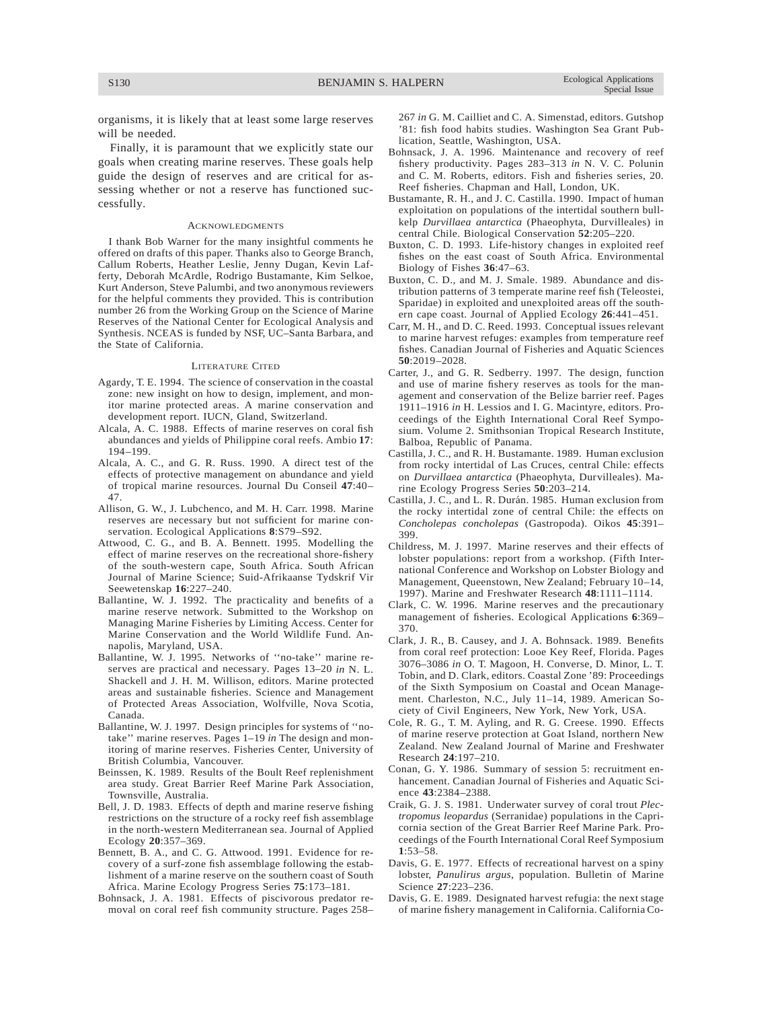organisms, it is likely that at least some large reserves will be needed.

Finally, it is paramount that we explicitly state our goals when creating marine reserves. These goals help guide the design of reserves and are critical for assessing whether or not a reserve has functioned successfully.

#### ACKNOWLEDGMENTS

I thank Bob Warner for the many insightful comments he offered on drafts of this paper. Thanks also to George Branch, Callum Roberts, Heather Leslie, Jenny Dugan, Kevin Lafferty, Deborah McArdle, Rodrigo Bustamante, Kim Selkoe, Kurt Anderson, Steve Palumbi, and two anonymous reviewers for the helpful comments they provided. This is contribution number 26 from the Working Group on the Science of Marine Reserves of the National Center for Ecological Analysis and Synthesis. NCEAS is funded by NSF, UC–Santa Barbara, and the State of California.

#### LITERATURE CITED

- Agardy, T. E. 1994. The science of conservation in the coastal zone: new insight on how to design, implement, and monitor marine protected areas. A marine conservation and development report. IUCN, Gland, Switzerland.
- Alcala, A. C. 1988. Effects of marine reserves on coral fish abundances and yields of Philippine coral reefs. Ambio **17**: 194–199.
- Alcala, A. C., and G. R. Russ. 1990. A direct test of the effects of protective management on abundance and yield of tropical marine resources. Journal Du Conseil **47**:40– 47.
- Allison, G. W., J. Lubchenco, and M. H. Carr. 1998. Marine reserves are necessary but not sufficient for marine conservation. Ecological Applications **8**:S79–S92.
- Attwood, C. G., and B. A. Bennett. 1995. Modelling the effect of marine reserves on the recreational shore-fishery of the south-western cape, South Africa. South African Journal of Marine Science; Suid-Afrikaanse Tydskrif Vir Seewetenskap **16**:227–240.
- Ballantine, W. J. 1992. The practicality and benefits of a marine reserve network. Submitted to the Workshop on Managing Marine Fisheries by Limiting Access. Center for Marine Conservation and the World Wildlife Fund. Annapolis, Maryland, USA.
- Ballantine, W. J. 1995. Networks of ''no-take'' marine reserves are practical and necessary. Pages 13–20 *in* N. L. Shackell and J. H. M. Willison, editors. Marine protected areas and sustainable fisheries. Science and Management of Protected Areas Association, Wolfville, Nova Scotia, Canada.
- Ballantine, W. J. 1997. Design principles for systems of ''notake'' marine reserves. Pages 1–19 *in* The design and monitoring of marine reserves. Fisheries Center, University of British Columbia, Vancouver.
- Beinssen, K. 1989. Results of the Boult Reef replenishment area study. Great Barrier Reef Marine Park Association, Townsville, Australia.
- Bell, J. D. 1983. Effects of depth and marine reserve fishing restrictions on the structure of a rocky reef fish assemblage in the north-western Mediterranean sea. Journal of Applied Ecology **20**:357–369.
- Bennett, B. A., and C. G. Attwood. 1991. Evidence for recovery of a surf-zone fish assemblage following the establishment of a marine reserve on the southern coast of South Africa. Marine Ecology Progress Series **75**:173–181.
- Bohnsack, J. A. 1981. Effects of piscivorous predator removal on coral reef fish community structure. Pages 258–

267 *in* G. M. Cailliet and C. A. Simenstad, editors. Gutshop '81: fish food habits studies. Washington Sea Grant Publication, Seattle, Washington, USA.

- Bohnsack, J. A. 1996. Maintenance and recovery of reef fishery productivity. Pages 283–313 *in* N. V. C. Polunin and C. M. Roberts, editors. Fish and fisheries series, 20. Reef fisheries. Chapman and Hall, London, UK.
- Bustamante, R. H., and J. C. Castilla. 1990. Impact of human exploitation on populations of the intertidal southern bullkelp *Durvillaea antarctica* (Phaeophyta, Durvilleales) in central Chile. Biological Conservation **52**:205–220.
- Buxton, C. D. 1993. Life-history changes in exploited reef fishes on the east coast of South Africa. Environmental Biology of Fishes **36**:47–63.
- Buxton, C. D., and M. J. Smale. 1989. Abundance and distribution patterns of 3 temperate marine reef fish (Teleostei, Sparidae) in exploited and unexploited areas off the southern cape coast. Journal of Applied Ecology **26**:441–451.
- Carr, M. H., and D. C. Reed. 1993. Conceptual issues relevant to marine harvest refuges: examples from temperature reef fishes. Canadian Journal of Fisheries and Aquatic Sciences **50**:2019–2028.
- Carter, J., and G. R. Sedberry. 1997. The design, function and use of marine fishery reserves as tools for the management and conservation of the Belize barrier reef. Pages 1911–1916 *in* H. Lessios and I. G. Macintyre, editors. Proceedings of the Eighth International Coral Reef Symposium. Volume 2. Smithsonian Tropical Research Institute, Balboa, Republic of Panama.
- Castilla, J. C., and R. H. Bustamante. 1989. Human exclusion from rocky intertidal of Las Cruces, central Chile: effects on *Durvillaea antarctica* (Phaeophyta, Durvilleales). Marine Ecology Progress Series **50**:203–214.
- Castilla, J. C., and L. R. Durán. 1985. Human exclusion from the rocky intertidal zone of central Chile: the effects on *Concholepas concholepas* (Gastropoda). Oikos **45**:391– 399.
- Childress, M. J. 1997. Marine reserves and their effects of lobster populations: report from a workshop. (Fifth International Conference and Workshop on Lobster Biology and Management, Queenstown, New Zealand; February 10–14, 1997). Marine and Freshwater Research **48**:1111–1114.
- Clark, C. W. 1996. Marine reserves and the precautionary management of fisheries. Ecological Applications **6**:369– 370.
- Clark, J. R., B. Causey, and J. A. Bohnsack. 1989. Benefits from coral reef protection: Looe Key Reef, Florida. Pages 3076–3086 *in* O. T. Magoon, H. Converse, D. Minor, L. T. Tobin, and D. Clark, editors. Coastal Zone '89: Proceedings of the Sixth Symposium on Coastal and Ocean Management. Charleston, N.C., July 11–14, 1989. American Society of Civil Engineers, New York, New York, USA.
- Cole, R. G., T. M. Ayling, and R. G. Creese. 1990. Effects of marine reserve protection at Goat Island, northern New Zealand. New Zealand Journal of Marine and Freshwater Research **24**:197–210.
- Conan, G. Y. 1986. Summary of session 5: recruitment enhancement. Canadian Journal of Fisheries and Aquatic Science **43**:2384–2388.
- Craik, G. J. S. 1981. Underwater survey of coral trout *Plectropomus leopardus* (Serranidae) populations in the Capricornia section of the Great Barrier Reef Marine Park. Proceedings of the Fourth International Coral Reef Symposium **1**:53–58.
- Davis, G. E. 1977. Effects of recreational harvest on a spiny lobster, *Panulirus argus*, population. Bulletin of Marine Science **27**:223–236.
- Davis, G. E. 1989. Designated harvest refugia: the next stage of marine fishery management in California. California Co-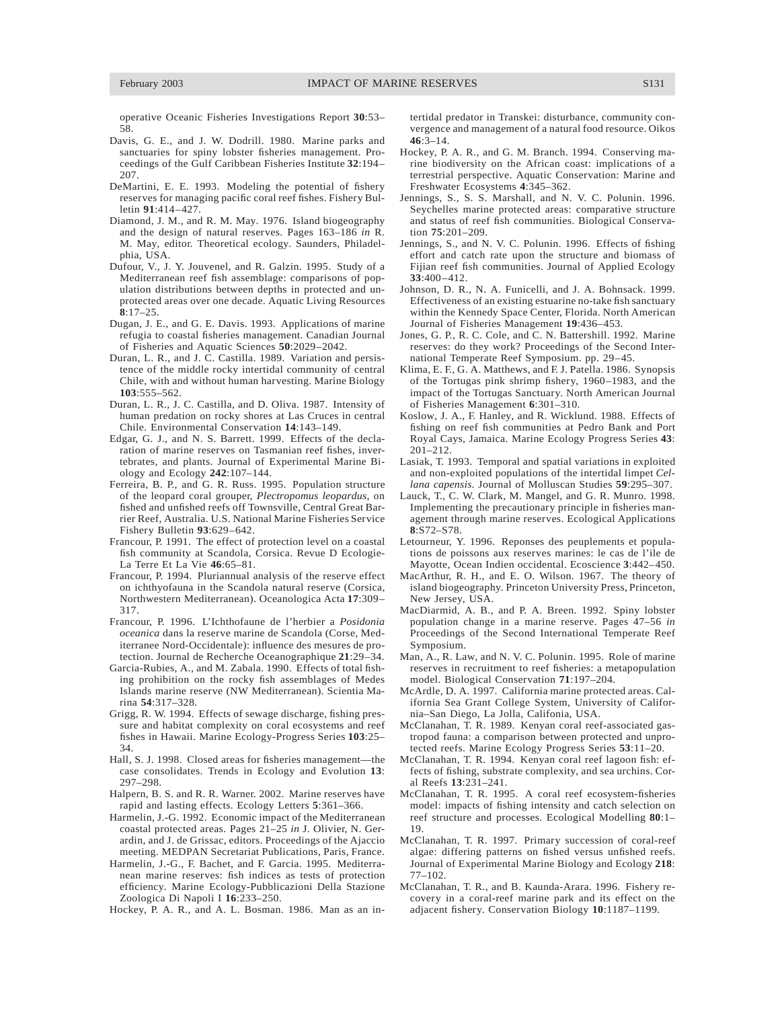operative Oceanic Fisheries Investigations Report **30**:53– 58.

- Davis, G. E., and J. W. Dodrill. 1980. Marine parks and sanctuaries for spiny lobster fisheries management. Proceedings of the Gulf Caribbean Fisheries Institute **32**:194– 207.
- DeMartini, E. E. 1993. Modeling the potential of fishery reserves for managing pacific coral reef fishes. Fishery Bulletin **91**:414–427.
- Diamond, J. M., and R. M. May. 1976. Island biogeography and the design of natural reserves. Pages 163–186 *in* R. M. May, editor. Theoretical ecology. Saunders, Philadelphia, USA.
- Dufour, V., J. Y. Jouvenel, and R. Galzin. 1995. Study of a Mediterranean reef fish assemblage: comparisons of population distributions between depths in protected and unprotected areas over one decade. Aquatic Living Resources **8**:17–25.
- Dugan, J. E., and G. E. Davis. 1993. Applications of marine refugia to coastal fisheries management. Canadian Journal of Fisheries and Aquatic Sciences **50**:2029–2042.
- Duran, L. R., and J. C. Castilla. 1989. Variation and persistence of the middle rocky intertidal community of central Chile, with and without human harvesting. Marine Biology **103**:555–562.
- Duran, L. R., J. C. Castilla, and D. Oliva. 1987. Intensity of human predation on rocky shores at Las Cruces in central Chile. Environmental Conservation **14**:143–149.
- Edgar, G. J., and N. S. Barrett. 1999. Effects of the declaration of marine reserves on Tasmanian reef fishes, invertebrates, and plants. Journal of Experimental Marine Biology and Ecology **242**:107–144.
- Ferreira, B. P., and G. R. Russ. 1995. Population structure of the leopard coral grouper, *Plectropomus leopardus*, on fished and unfished reefs off Townsville, Central Great Barrier Reef, Australia. U.S. National Marine Fisheries Service Fishery Bulletin **93**:629–642.
- Francour, P. 1991. The effect of protection level on a coastal fish community at Scandola, Corsica. Revue D Ecologie-La Terre Et La Vie **46**:65–81.
- Francour, P. 1994. Pluriannual analysis of the reserve effect on ichthyofauna in the Scandola natural reserve (Corsica, Northwestern Mediterranean). Oceanologica Acta **17**:309– 317.
- Francour, P. 1996. L'Ichthofaune de l'herbier a *Posidonia oceanica* dans la reserve marine de Scandola (Corse, Mediterranee Nord-Occidentale): influence des mesures de protection. Journal de Recherche Oceanographique **21**:29–34.
- Garcia-Rubies, A., and M. Zabala. 1990. Effects of total fishing prohibition on the rocky fish assemblages of Medes Islands marine reserve (NW Mediterranean). Scientia Marina **54**:317–328.
- Grigg, R. W. 1994. Effects of sewage discharge, fishing pressure and habitat complexity on coral ecosystems and reef fishes in Hawaii. Marine Ecology-Progress Series **103**:25– 34.
- Hall, S. J. 1998. Closed areas for fisheries management—the case consolidates. Trends in Ecology and Evolution **13**: 297–298.
- Halpern, B. S. and R. R. Warner. 2002. Marine reserves have rapid and lasting effects. Ecology Letters **5**:361–366.
- Harmelin, J.-G. 1992. Economic impact of the Mediterranean coastal protected areas. Pages 21–25 *in* J. Olivier, N. Gerardin, and J. de Grissac, editors. Proceedings of the Ajaccio meeting. MEDPAN Secretariat Publications, Paris, France.
- Harmelin, J.-G., F. Bachet, and F. Garcia. 1995. Mediterranean marine reserves: fish indices as tests of protection efficiency. Marine Ecology-Pubblicazioni Della Stazione Zoologica Di Napoli I **16**:233–250.
- Hockey, P. A. R., and A. L. Bosman. 1986. Man as an in-

tertidal predator in Transkei: disturbance, community convergence and management of a natural food resource. Oikos **46**:3–14.

- Hockey, P. A. R., and G. M. Branch. 1994. Conserving marine biodiversity on the African coast: implications of a terrestrial perspective. Aquatic Conservation: Marine and Freshwater Ecosystems **4**:345–362.
- Jennings, S., S. S. Marshall, and N. V. C. Polunin. 1996. Seychelles marine protected areas: comparative structure and status of reef fish communities. Biological Conservation **75**:201–209.
- Jennings, S., and N. V. C. Polunin. 1996. Effects of fishing effort and catch rate upon the structure and biomass of Fijian reef fish communities. Journal of Applied Ecology **33**:400–412.
- Johnson, D. R., N. A. Funicelli, and J. A. Bohnsack. 1999. Effectiveness of an existing estuarine no-take fish sanctuary within the Kennedy Space Center, Florida. North American Journal of Fisheries Management **19**:436–453.
- Jones, G. P., R. C. Cole, and C. N. Battershill. 1992. Marine reserves: do they work? Proceedings of the Second International Temperate Reef Symposium. pp. 29–45.
- Klima, E. F., G. A. Matthews, and F. J. Patella. 1986. Synopsis of the Tortugas pink shrimp fishery, 1960–1983, and the impact of the Tortugas Sanctuary. North American Journal of Fisheries Management **6**:301–310.
- Koslow, J. A., F. Hanley, and R. Wicklund. 1988. Effects of fishing on reef fish communities at Pedro Bank and Port Royal Cays, Jamaica. Marine Ecology Progress Series **43**: 201–212.
- Lasiak, T. 1993. Temporal and spatial variations in exploited and non-exploited populations of the intertidal limpet *Cellana capensis*. Journal of Molluscan Studies **59**:295–307.
- Lauck, T., C. W. Clark, M. Mangel, and G. R. Munro. 1998. Implementing the precautionary principle in fisheries management through marine reserves. Ecological Applications **8**:S72–S78.
- Letourneur, Y. 1996. Reponses des peuplements et populations de poissons aux reserves marines: le cas de l'ile de Mayotte, Ocean Indien occidental. Ecoscience **3**:442–450.
- MacArthur, R. H., and E. O. Wilson. 1967. The theory of island biogeography. Princeton University Press, Princeton, New Jersey, USA.
- MacDiarmid, A. B., and P. A. Breen. 1992. Spiny lobster population change in a marine reserve. Pages 47–56 *in* Proceedings of the Second International Temperate Reef Symposium.
- Man, A., R. Law, and N. V. C. Polunin. 1995. Role of marine reserves in recruitment to reef fisheries: a metapopulation model. Biological Conservation **71**:197–204.
- McArdle, D. A. 1997. California marine protected areas. California Sea Grant College System, University of California–San Diego, La Jolla, Califonia, USA.
- McClanahan, T. R. 1989. Kenyan coral reef-associated gastropod fauna: a comparison between protected and unprotected reefs. Marine Ecology Progress Series **53**:11–20.
- McClanahan, T. R. 1994. Kenyan coral reef lagoon fish: effects of fishing, substrate complexity, and sea urchins. Coral Reefs **13**:231–241.
- McClanahan, T. R. 1995. A coral reef ecosystem-fisheries model: impacts of fishing intensity and catch selection on reef structure and processes. Ecological Modelling **80**:1– 19.
- McClanahan, T. R. 1997. Primary succession of coral-reef algae: differing patterns on fished versus unfished reefs. Journal of Experimental Marine Biology and Ecology **218**: 77–102.
- McClanahan, T. R., and B. Kaunda-Arara. 1996. Fishery recovery in a coral-reef marine park and its effect on the adjacent fishery. Conservation Biology **10**:1187–1199.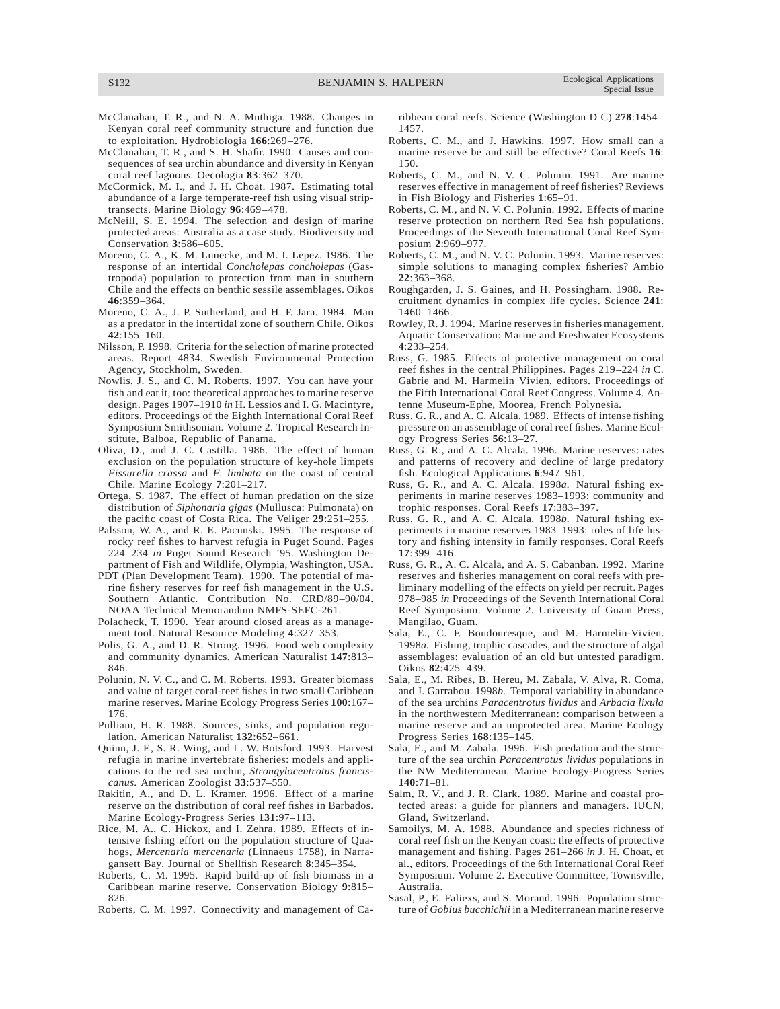- McClanahan, T. R., and N. A. Muthiga. 1988. Changes in Kenyan coral reef community structure and function due to exploitation. Hydrobiologia **166**:269–276.
- McClanahan, T. R., and S. H. Shafir. 1990. Causes and consequences of sea urchin abundance and diversity in Kenyan coral reef lagoons. Oecologia **83**:362–370.
- McCormick, M. I., and J. H. Choat. 1987. Estimating total abundance of a large temperate-reef fish using visual striptransects. Marine Biology **96**:469–478.
- McNeill, S. E. 1994. The selection and design of marine protected areas: Australia as a case study. Biodiversity and Conservation **3**:586–605.
- Moreno, C. A., K. M. Lunecke, and M. I. Lepez. 1986. The response of an intertidal *Concholepas concholepas* (Gastropoda) population to protection from man in southern Chile and the effects on benthic sessile assemblages. Oikos **46**:359–364.
- Moreno, C. A., J. P. Sutherland, and H. F. Jara. 1984. Man as a predator in the intertidal zone of southern Chile. Oikos **42**:155–160.
- Nilsson, P. 1998. Criteria for the selection of marine protected areas. Report 4834. Swedish Environmental Protection Agency, Stockholm, Sweden.
- Nowlis, J. S., and C. M. Roberts. 1997. You can have your fish and eat it, too: theoretical approaches to marine reserve design. Pages 1907–1910 *in* H. Lessios and I. G. Macintyre, editors. Proceedings of the Eighth International Coral Reef Symposium Smithsonian. Volume 2. Tropical Research Institute, Balboa, Republic of Panama.
- Oliva, D., and J. C. Castilla. 1986. The effect of human exclusion on the population structure of key-hole limpets *Fissurella crassa* and *F. limbata* on the coast of central Chile. Marine Ecology **7**:201–217.
- Ortega, S. 1987. The effect of human predation on the size distribution of *Siphonaria gigas* (Mullusca: Pulmonata) on the pacific coast of Costa Rica. The Veliger **29**:251–255.
- Palsson, W. A., and R. E. Pacunski. 1995. The response of rocky reef fishes to harvest refugia in Puget Sound. Pages 224–234 *in* Puget Sound Research '95. Washington Department of Fish and Wildlife, Olympia, Washington, USA.
- PDT (Plan Development Team). 1990. The potential of marine fishery reserves for reef fish management in the U.S. Southern Atlantic. Contribution No. CRD/89–90/04. NOAA Technical Memorandum NMFS-SEFC-261.
- Polacheck, T. 1990. Year around closed areas as a management tool. Natural Resource Modeling **4**:327–353.
- Polis, G. A., and D. R. Strong. 1996. Food web complexity and community dynamics. American Naturalist **147**:813– 846.
- Polunin, N. V. C., and C. M. Roberts. 1993. Greater biomass and value of target coral-reef fishes in two small Caribbean marine reserves. Marine Ecology Progress Series **100**:167– 176.
- Pulliam, H. R. 1988. Sources, sinks, and population regulation. American Naturalist **132**:652–661.
- Quinn, J. F., S. R. Wing, and L. W. Botsford. 1993. Harvest refugia in marine invertebrate fisheries: models and applications to the red sea urchin, *Strongylocentrotus franciscanus*. American Zoologist **33**:537–550.
- Rakitin, A., and D. L. Kramer. 1996. Effect of a marine reserve on the distribution of coral reef fishes in Barbados. Marine Ecology-Progress Series **131**:97–113.
- Rice, M. A., C. Hickox, and I. Zehra. 1989. Effects of intensive fishing effort on the population structure of Quahogs, *Mercenaria mercenaria* (Linnaeus 1758), in Narragansett Bay. Journal of Shellfish Research **8**:345–354.
- Roberts, C. M. 1995. Rapid build-up of fish biomass in a Caribbean marine reserve. Conservation Biology **9**:815– 826.
- Roberts, C. M. 1997. Connectivity and management of Ca-

ribbean coral reefs. Science (Washington D C) **278**:1454– 1457.

- Roberts, C. M., and J. Hawkins. 1997. How small can a marine reserve be and still be effective? Coral Reefs **16**: 150.
- Roberts, C. M., and N. V. C. Polunin. 1991. Are marine reserves effective in management of reef fisheries? Reviews in Fish Biology and Fisheries **1**:65–91.
- Roberts, C. M., and N. V. C. Polunin. 1992. Effects of marine reserve protection on northern Red Sea fish populations. Proceedings of the Seventh International Coral Reef Symposium **2**:969–977.
- Roberts, C. M., and N. V. C. Polunin. 1993. Marine reserves: simple solutions to managing complex fisheries? Ambio **22**:363–368.
- Roughgarden, J. S. Gaines, and H. Possingham. 1988. Recruitment dynamics in complex life cycles. Science **241**: 1460–1466.
- Rowley, R. J. 1994. Marine reserves in fisheries management. Aquatic Conservation: Marine and Freshwater Ecosystems **4**:233–254.
- Russ, G. 1985. Effects of protective management on coral reef fishes in the central Philippines. Pages 219–224 *in* C. Gabrie and M. Harmelin Vivien, editors. Proceedings of the Fifth International Coral Reef Congress. Volume 4. Antenne Museum-Ephe, Moorea, French Polynesia.
- Russ, G. R., and A. C. Alcala. 1989. Effects of intense fishing pressure on an assemblage of coral reef fishes. Marine Ecology Progress Series **56**:13–27.
- Russ, G. R., and A. C. Alcala. 1996. Marine reserves: rates and patterns of recovery and decline of large predatory fish. Ecological Applications **6**:947–961.
- Russ, G. R., and A. C. Alcala. 1998*a.* Natural fishing experiments in marine reserves 1983–1993: community and trophic responses. Coral Reefs **17**:383–397.
- Russ, G. R., and A. C. Alcala. 1998*b.* Natural fishing experiments in marine reserves 1983–1993: roles of life history and fishing intensity in family responses. Coral Reefs **17**:399–416.
- Russ, G. R., A. C. Alcala, and A. S. Cabanban. 1992. Marine reserves and fisheries management on coral reefs with preliminary modelling of the effects on yield per recruit. Pages 978–985 *in* Proceedings of the Seventh International Coral Reef Symposium. Volume 2. University of Guam Press, Mangilao, Guam.
- Sala, E., C. F. Boudouresque, and M. Harmelin-Vivien. 1998*a.* Fishing, trophic cascades, and the structure of algal assemblages: evaluation of an old but untested paradigm. Oikos **82**:425–439.
- Sala, E., M. Ribes, B. Hereu, M. Zabala, V. Alva, R. Coma, and J. Garrabou. 1998*b.* Temporal variability in abundance of the sea urchins *Paracentrotus lividus* and *Arbacia lixula* in the northwestern Mediterranean: comparison between a marine reserve and an unprotected area. Marine Ecology Progress Series **168**:135–145.
- Sala, E., and M. Zabala. 1996. Fish predation and the structure of the sea urchin *Paracentrotus lividus* populations in the NW Mediterranean. Marine Ecology-Progress Series **140**:71–81.
- Salm, R. V., and J. R. Clark. 1989. Marine and coastal protected areas: a guide for planners and managers. IUCN, Gland, Switzerland.
- Samoilys, M. A. 1988. Abundance and species richness of coral reef fish on the Kenyan coast: the effects of protective management and fishing. Pages 261–266 *in* J. H. Choat, et al., editors. Proceedings of the 6th International Coral Reef Symposium. Volume 2. Executive Committee, Townsville, Australia.
- Sasal, P., E. Faliexs, and S. Morand. 1996. Population structure of *Gobius bucchichii* in a Mediterranean marine reserve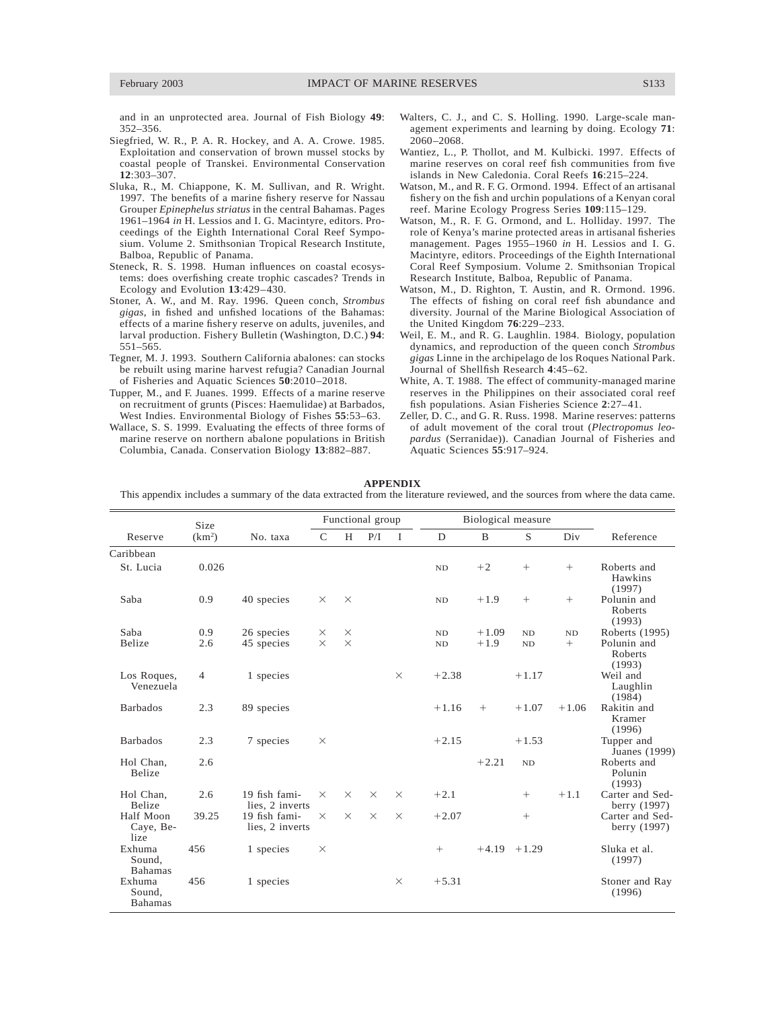and in an unprotected area. Journal of Fish Biology **49**: 352–356.

- Siegfried, W. R., P. A. R. Hockey, and A. A. Crowe. 1985. Exploitation and conservation of brown mussel stocks by coastal people of Transkei. Environmental Conservation **12**:303–307.
- Sluka, R., M. Chiappone, K. M. Sullivan, and R. Wright. 1997. The benefits of a marine fishery reserve for Nassau Grouper *Epinephelus striatus* in the central Bahamas. Pages 1961–1964 *in* H. Lessios and I. G. Macintyre, editors. Proceedings of the Eighth International Coral Reef Symposium. Volume 2. Smithsonian Tropical Research Institute, Balboa, Republic of Panama.
- Steneck, R. S. 1998. Human influences on coastal ecosystems: does overfishing create trophic cascades? Trends in Ecology and Evolution **13**:429–430.
- Stoner, A. W., and M. Ray. 1996. Queen conch, *Strombus gigas*, in fished and unfished locations of the Bahamas: effects of a marine fishery reserve on adults, juveniles, and larval production. Fishery Bulletin (Washington, D.C.) **94**: 551–565.
- Tegner, M. J. 1993. Southern California abalones: can stocks be rebuilt using marine harvest refugia? Canadian Journal of Fisheries and Aquatic Sciences **50**:2010–2018.
- Tupper, M., and F. Juanes. 1999. Effects of a marine reserve on recruitment of grunts (Pisces: Haemulidae) at Barbados, West Indies. Environmental Biology of Fishes **55**:53–63.
- Wallace, S. S. 1999. Evaluating the effects of three forms of marine reserve on northern abalone populations in British Columbia, Canada. Conservation Biology **13**:882–887.
- Walters, C. J., and C. S. Holling. 1990. Large-scale management experiments and learning by doing. Ecology **71**: 2060–2068.
- Wantiez, L., P. Thollot, and M. Kulbicki. 1997. Effects of marine reserves on coral reef fish communities from five islands in New Caledonia. Coral Reefs **16**:215–224.
- Watson, M., and R. F. G. Ormond. 1994. Effect of an artisanal fishery on the fish and urchin populations of a Kenyan coral reef. Marine Ecology Progress Series **109**:115–129.
- Watson, M., R. F. G. Ormond, and L. Holliday. 1997. The role of Kenya's marine protected areas in artisanal fisheries management. Pages 1955–1960 *in* H. Lessios and I. G. Macintyre, editors. Proceedings of the Eighth International Coral Reef Symposium. Volume 2. Smithsonian Tropical Research Institute, Balboa, Republic of Panama.
- Watson, M., D. Righton, T. Austin, and R. Ormond. 1996. The effects of fishing on coral reef fish abundance and diversity. Journal of the Marine Biological Association of the United Kingdom **76**:229–233.
- Weil, E. M., and R. G. Laughlin. 1984. Biology, population dynamics, and reproduction of the queen conch *Strombus gigas* Linne in the archipelago de los Roques National Park. Journal of Shellfish Research **4**:45–62.
- White, A. T. 1988. The effect of community-managed marine reserves in the Philippines on their associated coral reef fish populations. Asian Fisheries Science **2**:27–41.
- Zeller, D. C., and G. R. Russ. 1998. Marine reserves: patterns of adult movement of the coral trout (*Plectropomus leopardus* (Serranidae)). Canadian Journal of Fisheries and Aquatic Sciences **55**:917–924.

#### **APPENDIX**

This appendix includes a summary of the data extracted from the literature reviewed, and the sources from where the data came.

|                                    | Size               |                                  |               |          | Functional group |          |         |         | Biological measure |         |                                         |
|------------------------------------|--------------------|----------------------------------|---------------|----------|------------------|----------|---------|---------|--------------------|---------|-----------------------------------------|
| Reserve                            | (km <sup>2</sup> ) | No. taxa                         | $\mathcal{C}$ | H        | P/I              | I        | D       | B       | S                  | Div     | Reference                               |
| Caribbean                          |                    |                                  |               |          |                  |          |         |         |                    |         |                                         |
| St. Lucia                          | 0.026              |                                  |               |          |                  |          | ND      | $+2$    | $^{+}$             | $+$     | Roberts and<br>Hawkins<br>(1997)        |
| Saba                               | 0.9                | 40 species                       | $\times$      | $\times$ |                  |          | ND      | $+1.9$  | $+$                | $+$     | Polunin and<br><b>Roberts</b><br>(1993) |
| Saba                               | 0.9                | 26 species                       | $\times$      | $\times$ |                  |          | ND      | $+1.09$ | <b>ND</b>          | ND      | Roberts (1995)                          |
| Belize                             | 2.6                | 45 species                       | $\times$      | $\times$ |                  |          | ND      | $+1.9$  | ND                 | $+$     | Polunin and<br>Roberts<br>(1993)        |
| Los Roques,<br>Venezuela           | 4                  | 1 species                        |               |          |                  | $\times$ | $+2.38$ |         | $+1.17$            |         | Weil and<br>Laughlin<br>(1984)          |
| <b>Barbados</b>                    | 2.3                | 89 species                       |               |          |                  |          | $+1.16$ | $^{+}$  | $+1.07$            | $+1.06$ | Rakitin and<br>Kramer<br>(1996)         |
| <b>Barbados</b>                    | 2.3                | 7 species                        | $\times$      |          |                  |          | $+2.15$ |         | $+1.53$            |         | Tupper and<br>Juanes (1999)             |
| Hol Chan,<br>Belize                | 2.6                |                                  |               |          |                  |          |         | $+2.21$ | ND                 |         | Roberts and<br>Polunin<br>(1993)        |
| Hol Chan,<br><b>Belize</b>         | 2.6                | 19 fish fami-<br>lies, 2 inverts | $\times$      | $\times$ | $\times$         | $\times$ | $+2.1$  |         | $^{+}$             | $+1.1$  | Carter and Sed-<br>berry (1997)         |
| Half Moon<br>Caye, Be-<br>lize     | 39.25              | 19 fish fami-<br>lies, 2 inverts | $\times$      | $\times$ | $\times$         | $\times$ | $+2.07$ |         | $^{+}$             |         | Carter and Sed-<br>berry (1997)         |
| Exhuma<br>Sound.<br><b>Bahamas</b> | 456                | 1 species                        | $\times$      |          |                  |          | $^{+}$  |         | $+4.19$ $+1.29$    |         | Sluka et al.<br>(1997)                  |
| Exhuma<br>Sound.<br><b>Bahamas</b> | 456                | 1 species                        |               |          |                  | $\times$ | $+5.31$ |         |                    |         | Stoner and Ray<br>(1996)                |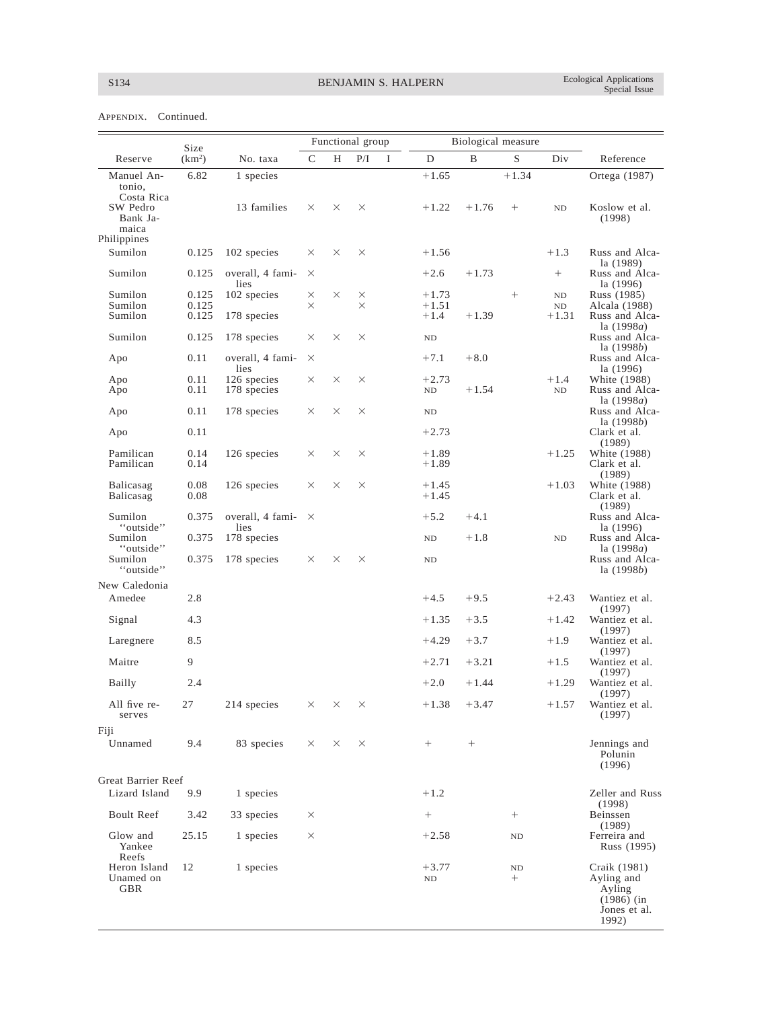APPENDIX. Continued.

|                                                            | Size               |                            |               |          | Functional group |   |                     |                 | Biological measure |               |                                                                               |  |  |
|------------------------------------------------------------|--------------------|----------------------------|---------------|----------|------------------|---|---------------------|-----------------|--------------------|---------------|-------------------------------------------------------------------------------|--|--|
| Reserve                                                    | (km <sup>2</sup> ) | No. taxa                   | $\mathsf{C}$  | H        | P/I              | I | D                   | B               | S                  | Div           | Reference                                                                     |  |  |
| Manuel An-<br>tonio,                                       | 6.82               | 1 species                  |               |          |                  |   | $+1.65$             |                 | $+1.34$            |               | Ortega (1987)                                                                 |  |  |
| Costa Rica<br>SW Pedro<br>Bank Ja-<br>maica<br>Philippines |                    | 13 families                | ×             | $\times$ | $\times$         |   | $+1.22$             | $+1.76$         | $^{+}$             | ND            | Koslow et al.<br>(1998)                                                       |  |  |
| Sumilon                                                    | 0.125              | 102 species                | ×             | $\times$ | $\times$         |   | $+1.56$             |                 |                    | $+1.3$        | Russ and Alca-                                                                |  |  |
| Sumilon                                                    | 0.125              | overall, 4 fami-<br>lies   | $\times$      |          |                  |   | $+2.6$              | $+1.73$         |                    | $^{+}$        | la (1989)<br>Russ and Alca-<br>la (1996)                                      |  |  |
| Sumilon<br>Sumilon                                         | 0.125<br>0.125     | 102 species                | X<br>$\times$ | X        | ×<br>$\times$    |   | $+1.73$<br>$+1.51$  |                 | $^{+}$             | ND            | Russ (1985)                                                                   |  |  |
| Sumilon                                                    | 0.125              | 178 species                |               |          |                  |   | $+1.4$              | $+1.39$         |                    | ND<br>$+1.31$ | Alcala (1988)<br>Russ and Alca-                                               |  |  |
| Sumilon                                                    | 0.125              | 178 species                | $\times$      | X        | ×                |   | ND                  |                 |                    |               | la (1998 <i>a</i> )<br>Russ and Alca-                                         |  |  |
| Apo                                                        | 0.11               | overall, 4 fami-<br>lies   | $\times$      |          |                  |   | $+7.1$              | $+8.0$          |                    |               | la (1998 <i>b</i> )<br>Russ and Alca-<br>la (1996)                            |  |  |
| Apo<br>Apo                                                 | 0.11<br>0.11       | 126 species<br>178 species | X             | X        | ×                |   | $+2.73$<br>ND       | $+1.54$         |                    | $+1.4$<br>ND  | White (1988)<br>Russ and Alca-<br>la (1998a)                                  |  |  |
| Apo                                                        | 0.11               | 178 species                | X             | X        | $\times$         |   | ND                  |                 |                    |               | Russ and Alca-<br>la (1998 <i>b</i> )                                         |  |  |
| Apo                                                        | 0.11               |                            |               |          |                  |   | $+2.73$             |                 |                    |               | Clark et al.<br>(1989)                                                        |  |  |
| Pamilican<br>Pamilican                                     | 0.14<br>0.14       | 126 species                | ×             | $\times$ | $\times$         |   | $+1.89$<br>$+1.89$  |                 |                    | $+1.25$       | White (1988)<br>Clark et al.<br>(1989)                                        |  |  |
| Balicasag<br>Balicasag                                     | 0.08<br>0.08       | 126 species                | $\times$      | $\times$ | $\times$         |   | $+1.45$<br>$+1.45$  |                 |                    | $+1.03$       | White (1988)<br>Clark et al.<br>(1989)                                        |  |  |
| Sumilon<br>"outside"                                       | 0.375              | overall, 4 fami-<br>lies   | $\times$      |          |                  |   | $+5.2$              | $+4.1$          |                    |               | Russ and Alca-<br>la (1996)                                                   |  |  |
| Sumilon<br>"outside"                                       | 0.375              | 178 species                |               |          |                  |   | ${\rm ND}$          | $+1.8$          |                    | ${\rm ND}$    | Russ and Alca-<br>la (1998 <i>a</i> )                                         |  |  |
| Sumilon<br>"outside"                                       | 0.375              | 178 species                | $\times$      | X        | ×                |   | $\rm ND$            |                 |                    |               | Russ and Alca-<br>la (1998b)                                                  |  |  |
| New Caledonia<br>Amedee                                    | 2.8                |                            |               |          |                  |   | $+4.5$              | $+9.5$          |                    | $+2.43$       | Wantiez et al.                                                                |  |  |
| Signal                                                     | 4.3                |                            |               |          |                  |   | $+1.35$             | $+3.5$          |                    | $+1.42$       | (1997)<br>Wantiez et al.                                                      |  |  |
| Laregnere                                                  | 8.5                |                            |               |          |                  |   | $+4.29$             | $+3.7$          |                    | $+1.9$        | (1997)<br>Wantiez et al.                                                      |  |  |
| Maitre                                                     | 9                  |                            |               |          |                  |   | $+2.71$             | $+3.21$         |                    | $+1.5$        | (1997)<br>Wantiez et al.                                                      |  |  |
| Bailly                                                     | 2.4                |                            |               |          |                  |   | $+2.0$              | $+1.44$         |                    | $+1.29$       | (1997)<br>Wantiez et al.<br>(1997)                                            |  |  |
| All five re-<br>serves                                     | 27                 | 214 species                | ×             | ×        | X                |   | $+1.38$             | $+3.47$         |                    | $+1.57$       | Wantiez et al.<br>(1997)                                                      |  |  |
| Fiji<br>Unnamed                                            | 9.4                | 83 species                 | ×             | $\times$ | ×                |   | $^{+}$              | $\! + \!\!\!\!$ |                    |               | Jennings and<br>Polunin<br>(1996)                                             |  |  |
| <b>Great Barrier Reef</b><br>Lizard Island                 | 9.9                | 1 species                  |               |          |                  |   | $+1.2$              |                 |                    |               | Zeller and Russ                                                               |  |  |
| <b>Boult Reef</b>                                          | 3.42               | 33 species                 | $\times$      |          |                  |   | $^{+}$              |                 | $\! + \!\!\!\!$    |               | (1998)<br>Beinssen                                                            |  |  |
| Glow and<br>Yankee                                         | 25.15              | 1 species                  | X             |          |                  |   | $+2.58$             |                 | ND                 |               | (1989)<br>Ferreira and<br>Russ (1995)                                         |  |  |
| Reefs<br>Heron Island<br>Unamed on<br><b>GBR</b>           | 12                 | 1 species                  |               |          |                  |   | $+3.77$<br>$\rm ND$ |                 | ND<br>$^{+}$       |               | Craik (1981)<br>Ayling and<br>Ayling<br>$(1986)$ (in<br>Jones et al.<br>1992) |  |  |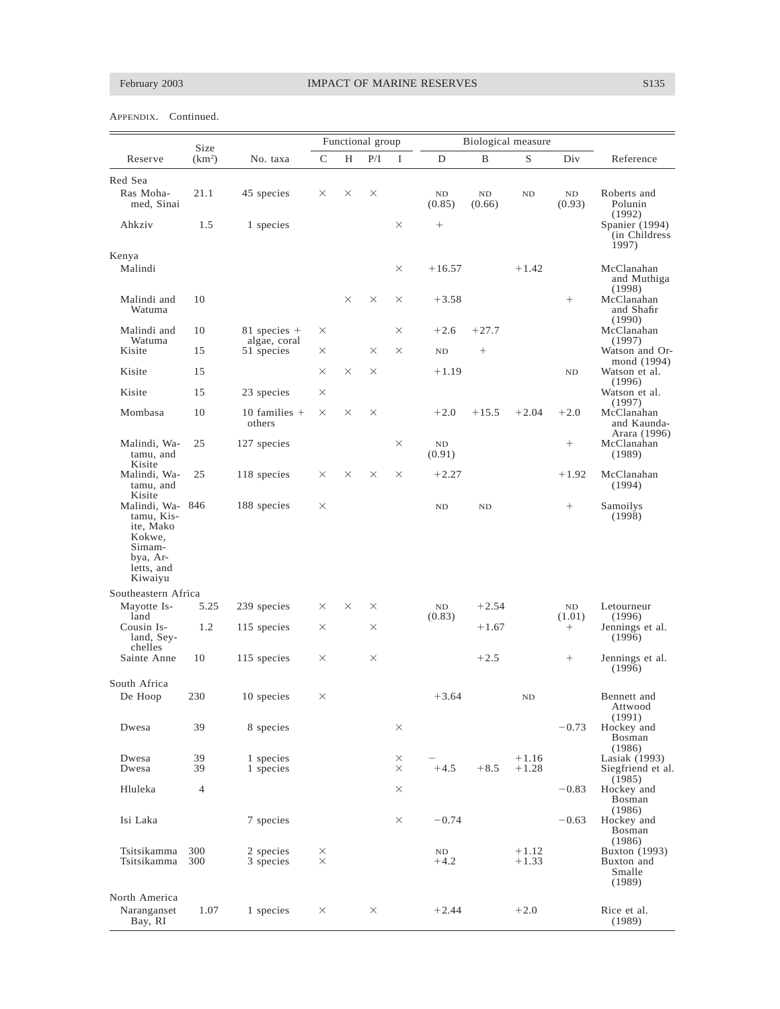APPENDIX. Continued.

|                                                                                                     | Functional group<br>Biological measure<br>Size |                            |               |          |           |                      |                    |                    |                    |                    |                                                           |
|-----------------------------------------------------------------------------------------------------|------------------------------------------------|----------------------------|---------------|----------|-----------|----------------------|--------------------|--------------------|--------------------|--------------------|-----------------------------------------------------------|
| Reserve                                                                                             | (km <sup>2</sup> )                             | No. taxa                   | $\mathbf C$   | H        | $\rm P/I$ | I                    | D                  | B                  | S                  | Div                | Reference                                                 |
| Red Sea                                                                                             |                                                |                            |               |          |           |                      |                    |                    |                    |                    |                                                           |
| Ras Moha-<br>med, Sinai                                                                             | 21.1                                           | 45 species                 | X             | X        | $\times$  |                      | ND<br>(0.85)       | $\rm ND$<br>(0.66) | ND                 | $\rm ND$<br>(0.93) | Roberts and<br>Polunin<br>(1992)                          |
| Ahkziv                                                                                              | 1.5                                            | 1 species                  |               |          |           | X                    | $\! + \!\!\!\!$    |                    |                    |                    | Spanier (1994)<br>(in Childress)<br>1997)                 |
| Kenya                                                                                               |                                                |                            |               |          |           |                      |                    |                    |                    |                    |                                                           |
| Malindi                                                                                             |                                                |                            |               |          |           | ×                    | $+16.57$           |                    | $+1.42$            |                    | McClanahan<br>and Muthiga                                 |
| Malindi and<br>Watuma                                                                               | 10                                             |                            |               | $\times$ | $\times$  | $\times$             | $+3.58$            |                    |                    | $\! + \!\!\!\!$    | (1998)<br>McClanahan<br>and Shafir                        |
| Malindi and                                                                                         | 10                                             | 81 species $+$             | $\times$      |          |           | ×                    | $+2.6$             | $+27.7$            |                    |                    | (1990)<br>McClanahan                                      |
| Watuma<br>Kisite                                                                                    | 15                                             | algae, coral<br>51 species | ×             |          | $\times$  | $\times$             | ND                 | $^{+}$             |                    |                    | (1997)<br>Watson and Or-                                  |
| Kisite                                                                                              | 15                                             |                            | $\times$      | $\times$ | X         |                      | $+1.19$            |                    |                    | $\rm ND$           | mond (1994)<br>Watson et al.                              |
| Kisite                                                                                              | 15                                             | 23 species                 | ×             |          |           |                      |                    |                    |                    |                    | (1996)<br>Watson et al.                                   |
|                                                                                                     |                                                |                            |               |          |           |                      |                    |                    |                    |                    | (1997)                                                    |
| Mombasa                                                                                             | 10                                             | 10 families $+$<br>others  | $\times$      | $\times$ | $\times$  |                      | $+2.0$             | $+15.5$            | $+2.04$            | $+2.0$             | McClanahan<br>and Kaunda-<br>Arara (1996)                 |
| Malindi, Wa-<br>tamu, and<br>Kisite                                                                 | 25                                             | 127 species                |               |          |           | X                    | $\rm ND$<br>(0.91) |                    |                    | $\! + \!\!\!\!$    | McClanahan<br>(1989)                                      |
| Malindi, Wa-<br>tamu, and<br>Kisite                                                                 | 25                                             | 118 species                | ×             | ×        | $\times$  | ×                    | $+2.27$            |                    |                    | $+1.92$            | McClanahan<br>(1994)                                      |
| Malindi, Wa-846<br>tamu, Kis-<br>ite, Mako<br>Kokwe,<br>Simam-<br>bya, Ar-<br>letts, and<br>Kiwaiyu |                                                | 188 species                | X             |          |           |                      | <b>ND</b>          | ND                 |                    | $^{+}$             | Samoilys<br>(1998)                                        |
| Southeastern Africa                                                                                 |                                                |                            |               |          |           |                      |                    |                    |                    |                    |                                                           |
| Mayotte Is-<br>land                                                                                 | 5.25                                           | 239 species                | $\times$      | $\times$ | X         |                      | ND<br>(0.83)       | $+2.54$            |                    | $\rm ND$<br>(1.01) | Letourneur<br>(1996)                                      |
| Cousin Is-<br>land, Sey-<br>chelles                                                                 | 1.2                                            | 115 species                | $\times$      |          | ×         |                      |                    | $+1.67$            |                    | $^{+}$             | Jennings et al.<br>(1996)                                 |
| Sainte Anne                                                                                         | 10                                             | 115 species                | X             |          | $\times$  |                      |                    | $+2.5$             |                    | $\! + \!\!\!\!$    | Jennings et al.<br>(1996)                                 |
| South Africa                                                                                        |                                                |                            |               |          |           |                      |                    |                    |                    |                    |                                                           |
| De Hoop                                                                                             | 230                                            | 10 species                 | ×             |          |           |                      | $+3.64$            |                    | ${\rm ND}$         |                    | Bennett and<br>Attwood                                    |
| Dwesa                                                                                               | 39                                             | 8 species                  |               |          |           | $\times$             |                    |                    |                    | $-0.73$            | (1991)<br>Hockey and<br>Bosman                            |
| Dwesa<br>Dwesa                                                                                      | 39<br>39                                       | 1 species<br>1 species     |               |          |           | $\times$<br>$\times$ | $+4.5$             | $+8.5$             | $+1.16$<br>$+1.28$ |                    | (1986)<br>Lasiak (1993)<br>Siegfriend et al.              |
| Hluleka                                                                                             | $\overline{4}$                                 |                            |               |          |           | $\times$             |                    |                    |                    | $-0.83$            | (1985)<br>Hockey and<br>Bosman                            |
| Isi Laka                                                                                            |                                                | 7 species                  |               |          |           | $\times$             | $-0.74$            |                    |                    | $-0.63$            | (1986)<br>Hockey and<br>Bosman                            |
| Tsitsikamma<br>Tsitsikamma                                                                          | 300<br>300                                     | 2 species<br>3 species     | ×<br>$\times$ |          |           |                      | $\rm ND$<br>$+4.2$ |                    | $+1.12$<br>$+1.33$ |                    | (1986)<br>Buxton (1993)<br>Buxton and<br>Smalle<br>(1989) |
| North America<br>Naranganset<br>Bay, RI                                                             | 1.07                                           | 1 species                  | X             |          | X         |                      | $+2.44$            |                    | $+2.0$             |                    | Rice et al.<br>(1989)                                     |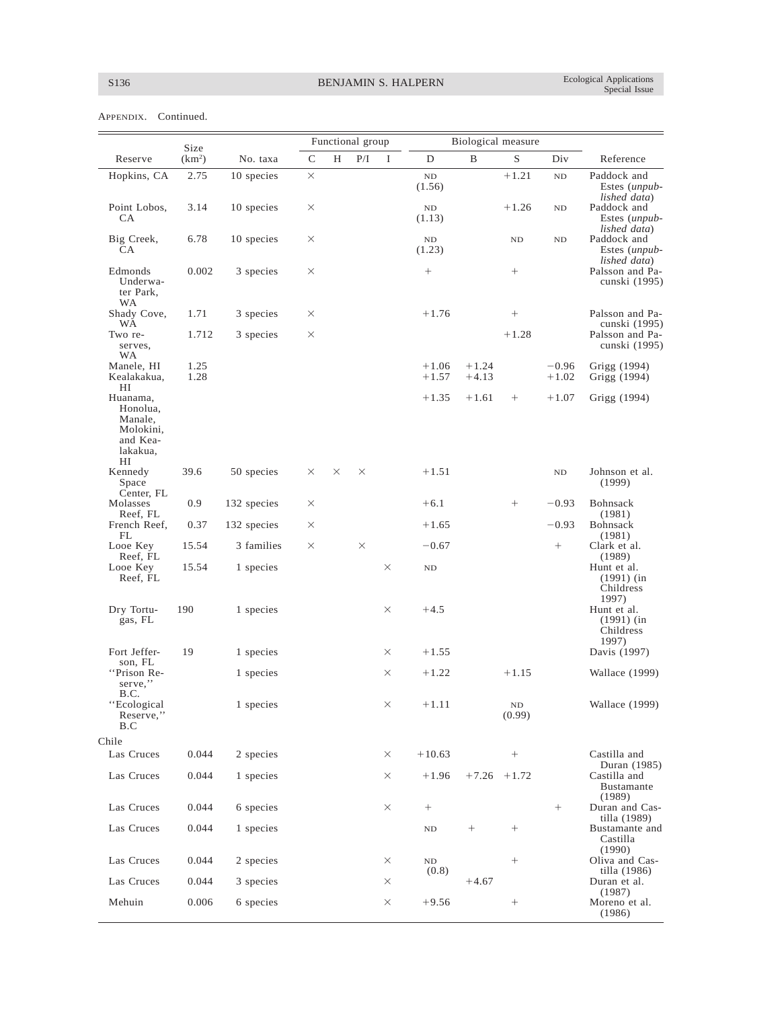| APPENDIX. Continued. |  |
|----------------------|--|
|                      |  |

|                                                                            | Size               |             |             |          | Functional group |          | Biological measure  |                    |                    |                    |                                                             |  |  |
|----------------------------------------------------------------------------|--------------------|-------------|-------------|----------|------------------|----------|---------------------|--------------------|--------------------|--------------------|-------------------------------------------------------------|--|--|
| Reserve                                                                    | (km <sup>2</sup> ) | No. taxa    | $\mathbf C$ | H        | P/I              | I        | D                   | B                  | $\mathbf S$        | Div                | Reference                                                   |  |  |
| Hopkins, CA                                                                | 2.75               | 10 species  | $\times$    |          |                  |          | $\rm ND$<br>(1.56)  |                    | $+1.21$            | $\rm ND$           | Paddock and<br>Estes (unpub-                                |  |  |
| Point Lobos,<br>CA                                                         | 3.14               | 10 species  | $\times$    |          |                  |          | $\rm ND$<br>(1.13)  |                    | $+1.26$            | $\rm ND$           | lished data)<br>Paddock and<br>Estes (unpub-                |  |  |
| Big Creek,<br>CA                                                           | 6.78               | 10 species  | $\times$    |          |                  |          | $\rm ND$<br>(1.23)  |                    | ND                 | ND                 | lished data)<br>Paddock and<br>Estes (unpub-                |  |  |
| Edmonds<br>Underwa-<br>ter Park,<br>WA                                     | 0.002              | 3 species   | $\times$    |          |                  |          | $^{+}$              |                    | $^{+}$             |                    | lished data)<br>Palsson and Pa-<br>cunski (1995)            |  |  |
| Shady Cove,                                                                | 1.71               | 3 species   | ×           |          |                  |          | $+1.76$             |                    | $^{+}$             |                    | Palsson and Pa-                                             |  |  |
| WA<br>Two re-<br>serves,                                                   | 1.712              | 3 species   | $\times$    |          |                  |          |                     |                    | $+1.28$            |                    | cunski (1995)<br>Palsson and Pa-<br>cunski (1995)           |  |  |
| WA<br>Manele, HI<br>Kealakakua,<br>HI                                      | 1.25<br>1.28       |             |             |          |                  |          | $+1.06$<br>$+1.57$  | $+1.24$<br>$+4.13$ |                    | $-0.96$<br>$+1.02$ | Grigg (1994)<br>Grigg (1994)                                |  |  |
| Huanama,<br>Honolua,<br>Manale,<br>Molokini,<br>and Kea-<br>lakakua,<br>HI |                    |             |             |          |                  |          | $+1.35$             | $+1.61$            | $\! + \!\!\!\!$    | $+1.07$            | Grigg (1994)                                                |  |  |
| Kennedy<br>Space<br>Center, FL                                             | 39.6               | 50 species  | $\times$    | $\times$ | $\times$         |          | $+1.51$             |                    |                    | ND                 | Johnson et al.<br>(1999)                                    |  |  |
| Molasses                                                                   | 0.9                | 132 species | ×           |          |                  |          | $+6.1$              |                    | $^{+}$             | $-0.93$            | Bohnsack                                                    |  |  |
| Reef, FL<br>French Reef,                                                   | 0.37               | 132 species | $\times$    |          |                  |          | $+1.65$             |                    |                    | $-0.93$            | (1981)<br>Bohnsack                                          |  |  |
| FL<br>Looe Key                                                             | 15.54              | 3 families  | $\times$    |          | $\times$         |          | $-0.67$             |                    |                    | $\! + \!\!\!\!$    | (1981)<br>Clark et al.                                      |  |  |
| Reef, FL<br>Looe Key<br>Reef, FL                                           | 15.54              | 1 species   |             |          |                  | $\times$ | ND                  |                    |                    |                    | (1989)<br>Hunt et al.<br>$(1991)$ (in<br>Childress<br>1997) |  |  |
| Dry Tortu-<br>gas, FL                                                      | 190                | 1 species   |             |          |                  | $\times$ | $+4.5$              |                    |                    |                    | Hunt et al.<br>$(1991)$ (in<br>Childress<br>1997)           |  |  |
| Fort Jeffer-<br>son, FL                                                    | 19                 | 1 species   |             |          |                  | $\times$ | $+1.55$             |                    |                    |                    | Davis (1997)                                                |  |  |
| "Prison Re-<br>serve,"<br>B.C.                                             |                    | 1 species   |             |          |                  | $\times$ | $+1.22$             |                    | $+1.15$            |                    | Wallace (1999)                                              |  |  |
| "Ecological<br>Reserve."<br>B.C                                            |                    | 1 species   |             |          |                  | ×        | $+1.11$             |                    | $\rm ND$<br>(0.99) |                    | <b>Wallace</b> (1999)                                       |  |  |
| Chile                                                                      |                    |             |             |          |                  |          |                     |                    |                    |                    |                                                             |  |  |
| Las Cruces                                                                 | 0.044              | 2 species   |             |          |                  | $\times$ | $+10.63$            |                    | $\! + \!\!\!\!$    |                    | Castilla and<br>Duran (1985)                                |  |  |
| Las Cruces                                                                 | 0.044              | 1 species   |             |          |                  | $\times$ | $+1.96$             | $+7.26$            | $+1.72$            |                    | Castilla and<br>Bustamante<br>(1989)                        |  |  |
| Las Cruces                                                                 | 0.044              | 6 species   |             |          |                  | $\times$ | $^{+}$              |                    |                    | $\! + \!\!\!\!$    | Duran and Cas-<br>tilla (1989)                              |  |  |
| Las Cruces                                                                 | 0.044              | 1 species   |             |          |                  |          | $\rm ND$            | $\! + \!\!\!\!$    | $\! + \!\!\!\!$    |                    | Bustamante and<br>Castilla<br>(1990)                        |  |  |
| Las Cruces                                                                 | 0.044              | 2 species   |             |          |                  | $\times$ | ${\rm ND}$<br>(0.8) |                    | $^{+}$             |                    | Oliva and Cas-<br>tilla (1986)                              |  |  |
| Las Cruces                                                                 | 0.044              | 3 species   |             |          |                  | X        |                     | $+4.67$            |                    |                    | Duran et al.<br>(1987)                                      |  |  |
| Mehuin                                                                     | 0.006              | 6 species   |             |          |                  | X        | $+9.56$             |                    | $^{+}$             |                    | Moreno et al.<br>(1986)                                     |  |  |